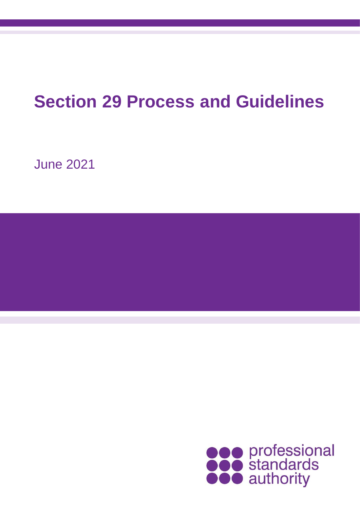# **Section 29 Process and Guidelines**

June 2021

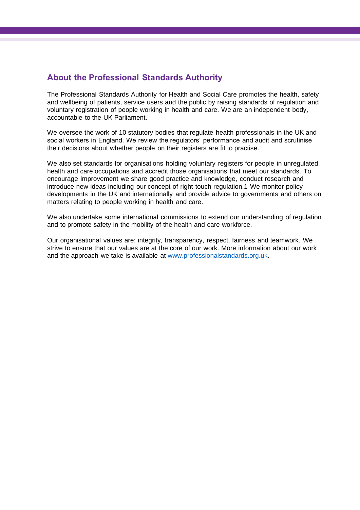# **About the Professional Standards Authority**

The Professional Standards Authority for Health and Social Care promotes the health, safety and wellbeing of patients, service users and the public by raising standards of regulation and voluntary registration of people working in health and care. We are an independent body, accountable to the UK Parliament.

We oversee the work of 10 statutory bodies that regulate health professionals in the UK and social workers in England. We review the regulators' performance and audit and scrutinise their decisions about whether people on their registers are fit to practise.

We also set standards for organisations holding voluntary registers for people in unregulated health and care occupations and accredit those organisations that meet our standards. To encourage improvement we share good practice and knowledge, conduct research and introduce new ideas including our concept of right-touch regulation.1 We monitor policy developments in the UK and internationally and provide advice to governments and others on matters relating to people working in health and care.

We also undertake some international commissions to extend our understanding of regulation and to promote safety in the mobility of the health and care workforce.

Our organisational values are: integrity, transparency, respect, fairness and teamwork. We strive to ensure that our values are at the core of our work. More information about our work and the approach we take is available at [www.professionalstandards.org.uk.](http://www.professionalstandards.org.uk/)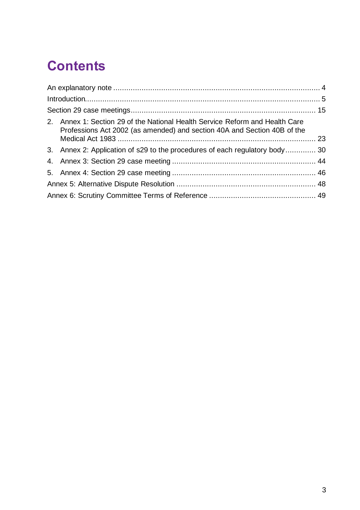# **Contents**

| 2. Annex 1: Section 29 of the National Health Service Reform and Health Care<br>Professions Act 2002 (as amended) and section 40A and Section 40B of the |  |
|----------------------------------------------------------------------------------------------------------------------------------------------------------|--|
| 3. Annex 2: Application of s29 to the procedures of each regulatory body 30                                                                              |  |
|                                                                                                                                                          |  |
|                                                                                                                                                          |  |
|                                                                                                                                                          |  |
|                                                                                                                                                          |  |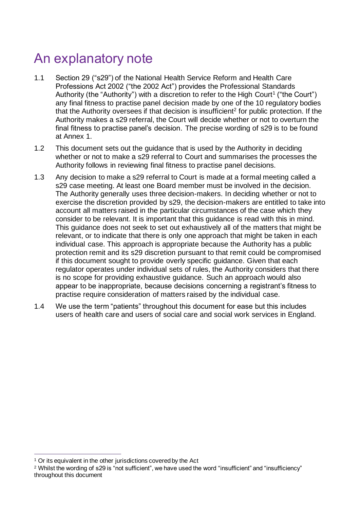# <span id="page-3-0"></span>An explanatory note

- 1.1 Section 29 ("s29") of the National Health Service Reform and Health Care Professions Act 2002 ("the 2002 Act") provides the Professional Standards Authority (the "Authority") with a discretion to refer to the High Court<sup>1</sup> ("the Court") any final fitness to practise panel decision made by one of the 10 regulatory bodies that the Authority oversees if that decision is insufficient<sup>2</sup> for public protection. If the Authority makes a s29 referral, the Court will decide whether or not to overturn the final fitness to practise panel's decision. The precise wording of s29 is to be found at Annex 1.
- 1.2 This document sets out the guidance that is used by the Authority in deciding whether or not to make a s29 referral to Court and summarises the processes the Authority follows in reviewing final fitness to practise panel decisions.
- 1.3 Any decision to make a s29 referral to Court is made at a formal meeting called a s29 case meeting. At least one Board member must be involved in the decision. The Authority generally uses three decision-makers. In deciding whether or not to exercise the discretion provided by s29, the decision-makers are entitled to take into account all matters raised in the particular circumstances of the case which they consider to be relevant. It is important that this guidance is read with this in mind. This guidance does not seek to set out exhaustively all of the matters that might be relevant, or to indicate that there is only one approach that might be taken in each individual case. This approach is appropriate because the Authority has a public protection remit and its s29 discretion pursuant to that remit could be compromised if this document sought to provide overly specific guidance. Given that each regulator operates under individual sets of rules, the Authority considers that there is no scope for providing exhaustive guidance. Such an approach would also appear to be inappropriate, because decisions concerning a registrant's fitness to practise require consideration of matters raised by the individual case.
- 1.4 We use the term "patients" throughout this document for ease but this includes users of health care and users of social care and social work services in England.

<sup>&</sup>lt;sup>1</sup> Or its equivalent in the other jurisdictions covered by the Act

<sup>2</sup> Whilst the wording of s29 is "not sufficient", we have used the word "insufficient" and "insufficiency" throughout this document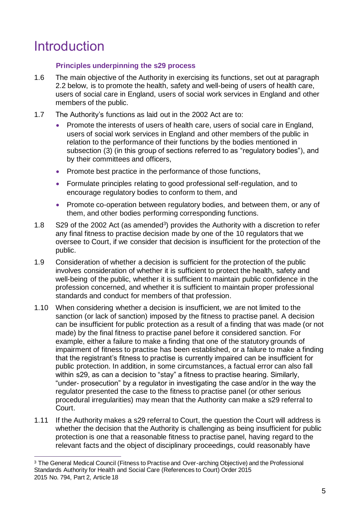# <span id="page-4-0"></span>Introduction

# **Principles underpinning the s29 process**

- 1.6 The main objective of the Authority in exercising its functions, set out at paragraph 2.2 below, is to promote the health, safety and well-being of users of health care, users of social care in England, users of social work services in England and other members of the public.
- 1.7 The Authority's functions as laid out in the 2002 Act are to:
	- Promote the interests of users of health care, users of social care in England, users of social work services in England and other members of the public in relation to the performance of their functions by the bodies mentioned in subsection (3) (in this group of sections referred to as "regulatory bodies"), and by their committees and officers,
	- Promote best practice in the performance of those functions,
	- Formulate principles relating to good professional self-regulation, and to encourage regulatory bodies to conform to them, and
	- Promote co-operation between regulatory bodies, and between them, or any of them, and other bodies performing corresponding functions.
- 1.8  $\,$  S29 of the 2002 Act (as amended<sup>3</sup>) provides the Authority with a discretion to refer any final fitness to practise decision made by one of the 10 regulators that we oversee to Court, if we consider that decision is insufficient for the protection of the public.
- 1.9 Consideration of whether a decision is sufficient for the protection of the public involves consideration of whether it is sufficient to protect the health, safety and well-being of the public, whether it is sufficient to maintain public confidence in the profession concerned, and whether it is sufficient to maintain proper professional standards and conduct for members of that profession.
- 1.10 When considering whether a decision is insufficient, we are not limited to the sanction (or lack of sanction) imposed by the fitness to practise panel. A decision can be insufficient for public protection as a result of a finding that was made (or not made) by the final fitness to practise panel before it considered sanction. For example, either a failure to make a finding that one of the statutory grounds of impairment of fitness to practise has been established, or a failure to make a finding that the registrant's fitness to practise is currently impaired can be insufficient for public protection. In addition, in some circumstances, a factual error can also fall within s29, as can a decision to "stay" a fitness to practise hearing. Similarly, "under- prosecution" by a regulator in investigating the case and/or in the way the regulator presented the case to the fitness to practise panel (or other serious procedural irregularities) may mean that the Authority can make a s29 referral to Court.
- 1.11 If the Authority makes a s29 referral to Court, the question the Court will address is whether the decision that the Authority is challenging as being insufficient for public protection is one that a reasonable fitness to practise panel, having regard to the relevant facts and the object of disciplinary proceedings, could reasonably have

<sup>&</sup>lt;sup>3</sup> The General Medical Council (Fitness to Practise and Over-arching Objective) and the Professional Standards Authority for Health and Social Care (References to Court) Order 2015 2015 No. 794, Part 2, Article 18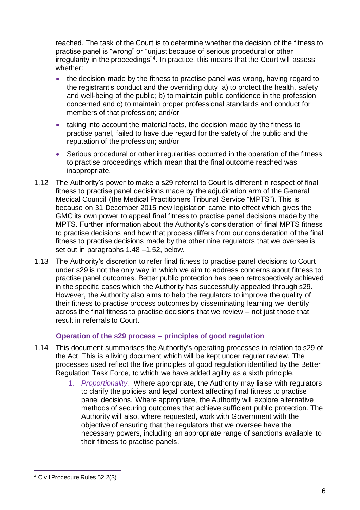reached. The task of the Court is to determine whether the decision of the fitness to practise panel is "wrong" or "unjust because of serious procedural or other irregularity in the proceedings"<sup>4</sup> . In practice, this means that the Court will assess whether:

- the decision made by the fitness to practise panel was wrong, having regard to the registrant's conduct and the overriding duty a) to protect the health, safety and well-being of the public; b) to maintain public confidence in the profession concerned and c) to maintain proper professional standards and conduct for members of that profession; and/or
- taking into account the material facts, the decision made by the fitness to practise panel, failed to have due regard for the safety of the public and the reputation of the profession; and/or
- Serious procedural or other irregularities occurred in the operation of the fitness to practise proceedings which mean that the final outcome reached was inappropriate.
- 1.12 The Authority's power to make a s29 referral to Court is different in respect of final fitness to practise panel decisions made by the adjudication arm of the General Medical Council (the Medical Practitioners Tribunal Service "MPTS"). This is because on 31 December 2015 new legislation came into effect which gives the GMC its own power to appeal final fitness to practise panel decisions made by the MPTS. Further information about the Authority's consideration of final MPTS fitness to practise decisions and how that process differs from our consideration of the final fitness to practise decisions made by the other nine regulators that we oversee is set out in paragraphs [1.48](#page-12-0) [–1.52,](#page-13-0) below.
- 1.13 The Authority's discretion to refer final fitness to practise panel decisions to Court under s29 is not the only way in which we aim to address concerns about fitness to practise panel outcomes. Better public protection has been retrospectively achieved in the specific cases which the Authority has successfully appealed through s29. However, the Authority also aims to help the regulators to improve the quality of their fitness to practise process outcomes by disseminating learning we identify across the final fitness to practise decisions that we review – not just those that result in referrals to Court.

# **Operation of the s29 process – principles of good regulation**

- 1.14 This document summarises the Authority's operating processes in relation to s29 of the Act. This is a living document which will be kept under regular review. The processes used reflect the five principles of good regulation identified by the Better Regulation Task Force, to which we have added agility as a sixth principle.
	- 1. *Proportionality.* Where appropriate, the Authority may liaise with regulators to clarify the policies and legal context affecting final fitness to practise panel decisions. Where appropriate, the Authority will explore alternative methods of securing outcomes that achieve sufficient public protection. The Authority will also, where requested, work with Government with the objective of ensuring that the regulators that we oversee have the necessary powers, including an appropriate range of sanctions available to their fitness to practise panels.

<sup>4</sup> Civil Procedure Rules 52.2(3)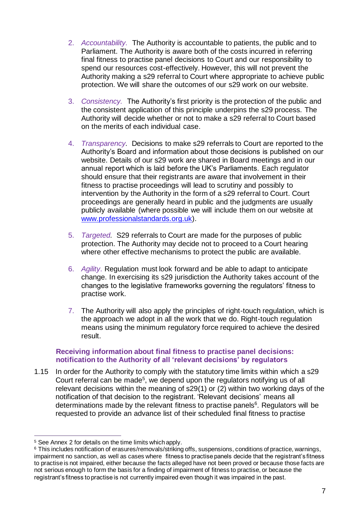- 2. *Accountability.* The Authority is accountable to patients, the public and to Parliament. The Authority is aware both of the costs incurred in referring final fitness to practise panel decisions to Court and our responsibility to spend our resources cost-effectively. However, this will not prevent the Authority making a s29 referral to Court where appropriate to achieve public protection. We will share the outcomes of our s29 work on our website.
- 3. *Consistency.* The Authority's first priority is the protection of the public and the consistent application of this principle underpins the s29 process. The Authority will decide whether or not to make a s29 referral to Court based on the merits of each individual case.
- 4. *Transparency.* Decisions to make s29 referrals to Court are reported to the Authority's Board and information about those decisions is published on our website. Details of our s29 work are shared in Board meetings and in our annual report which is laid before the UK's Parliaments. Each regulator should ensure that their registrants are aware that involvement in their fitness to practise proceedings will lead to scrutiny and possibly to intervention by the Authority in the form of a s29 referral to Court. Court proceedings are generally heard in public and the judgments are usually publicly available (where possible we will include them on our website at [www.professionalstandards.org.uk\)](http://www.professionalstandards.org.uk/).
- 5. *Targeted.* S29 referrals to Court are made for the purposes of public protection. The Authority may decide not to proceed to a Court hearing where other effective mechanisms to protect the public are available.
- 6. *Agility*. Regulation must look forward and be able to adapt to anticipate change. In exercising its s29 jurisdiction the Authority takes account of the changes to the legislative frameworks governing the regulators' fitness to practise work.
- 7. The Authority will also apply the principles of right-touch regulation, which is the approach we adopt in all the work that we do. Right-touch regulation means using the minimum regulatory force required to achieve the desired result.

### **Receiving information about final fitness to practise panel decisions: notification to the Authority of all 'relevant decisions' by regulators**

1.15 In order for the Authority to comply with the statutory time limits within which a s29 Court referral can be made<sup>5</sup>, we depend upon the regulators notifying us of all relevant decisions within the meaning of s29(1) or (2) within two working days of the notification of that decision to the registrant. 'Relevant decisions' means all determinations made by the relevant fitness to practise panels<sup>6</sup>. Regulators will be requested to provide an advance list of their scheduled final fitness to practise

<sup>5</sup> See Annex 2 for details on the time limits which apply.

<sup>6</sup> This includes notification of erasures/removals/striking offs, suspensions, conditions of practice, warnings, impairment no sanction, as well as cases where fitness to practise panels decide that the registrant's fitness to practise is not impaired, either because the facts alleged have not been proved or because those facts are not serious enough to form the basis for a finding of impairment of fitness to practise, or because the registrant's fitness to practise is not currently impaired even though it was impaired in the past.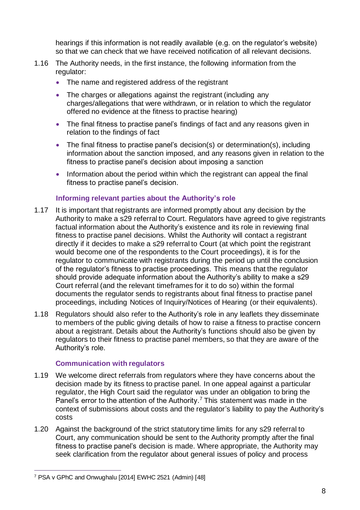hearings if this information is not readily available (e.g. on the regulator's website) so that we can check that we have received notification of all relevant decisions.

- 1.16 The Authority needs, in the first instance, the following information from the regulator:
	- The name and registered address of the registrant
	- The charges or allegations against the registrant (including any charges/allegations that were withdrawn, or in relation to which the regulator offered no evidence at the fitness to practise hearing)
	- The final fitness to practise panel's findings of fact and any reasons given in relation to the findings of fact
	- The final fitness to practise panel's decision(s) or determination(s), including information about the sanction imposed, and any reasons given in relation to the fitness to practise panel's decision about imposing a sanction
	- Information about the period within which the registrant can appeal the final fitness to practise panel's decision.

#### **Informing relevant parties about the Authority's role**

- 1.17 It is important that registrants are informed promptly about any decision by the Authority to make a s29 referral to Court. Regulators have agreed to give registrants factual information about the Authority's existence and its role in reviewing final fitness to practise panel decisions. Whilst the Authority will contact a registrant directly if it decides to make a s29 referral to Court (at which point the registrant would become one of the respondents to the Court proceedings), it is for the regulator to communicate with registrants during the period up until the conclusion of the regulator's fitness to practise proceedings. This means that the regulator should provide adequate information about the Authority's ability to make a s29 Court referral (and the relevant timeframes for it to do so) within the formal documents the regulator sends to registrants about final fitness to practise panel proceedings, including Notices of Inquiry/Notices of Hearing (or their equivalents).
- 1.18 Regulators should also refer to the Authority's role in any leaflets they disseminate to members of the public giving details of how to raise a fitness to practise concern about a registrant. Details about the Authority's functions should also be given by regulators to their fitness to practise panel members, so that they are aware of the Authority's role.

#### **Communication with regulators**

- 1.19 We welcome direct referrals from regulators where they have concerns about the decision made by its fitness to practise panel. In one appeal against a particular regulator, the High Court said the regulator was under an obligation to bring the Panel's error to the attention of the Authority.<sup>7</sup> This statement was made in the context of submissions about costs and the regulator's liability to pay the Authority's costs
- 1.20 Against the background of the strict statutory time limits for any s29 referral to Court, any communication should be sent to the Authority promptly after the final fitness to practise panel's decision is made. Where appropriate, the Authority may seek clarification from the regulator about general issues of policy and process

<sup>7</sup> PSA v GPhC and Onwughalu [2014] EWHC 2521 (Admin) [48]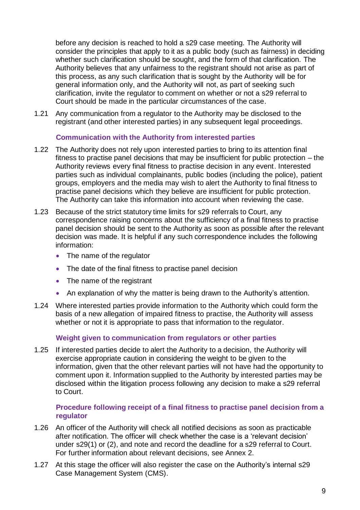before any decision is reached to hold a s29 case meeting. The Authority will consider the principles that apply to it as a public body (such as fairness) in deciding whether such clarification should be sought, and the form of that clarification. The Authority believes that any unfairness to the registrant should not arise as part of this process, as any such clarification that is sought by the Authority will be for general information only, and the Authority will not, as part of seeking such clarification, invite the regulator to comment on whether or not a s29 referral to Court should be made in the particular circumstances of the case.

1.21 Any communication from a regulator to the Authority may be disclosed to the registrant (and other interested parties) in any subsequent legal proceedings.

#### **Communication with the Authority from interested parties**

- 1.22 The Authority does not rely upon interested parties to bring to its attention final fitness to practise panel decisions that may be insufficient for public protection – the Authority reviews every final fitness to practise decision in any event. Interested parties such as individual complainants, public bodies (including the police), patient groups, employers and the media may wish to alert the Authority to final fitness to practise panel decisions which they believe are insufficient for public protection. The Authority can take this information into account when reviewing the case.
- 1.23 Because of the strict statutory time limits for s29 referrals to Court, any correspondence raising concerns about the sufficiency of a final fitness to practise panel decision should be sent to the Authority as soon as possible after the relevant decision was made. It is helpful if any such correspondence includes the following information:
	- The name of the regulator
	- The date of the final fitness to practise panel decision
	- The name of the registrant
	- An explanation of why the matter is being drawn to the Authority's attention.
- 1.24 Where interested parties provide information to the Authority which could form the basis of a new allegation of impaired fitness to practise, the Authority will assess whether or not it is appropriate to pass that information to the regulator.

#### **Weight given to communication from regulators or other parties**

1.25 If interested parties decide to alert the Authority to a decision, the Authority will exercise appropriate caution in considering the weight to be given to the information, given that the other relevant parties will not have had the opportunity to comment upon it. Information supplied to the Authority by interested parties may be disclosed within the litigation process following any decision to make a s29 referral to Court.

### **Procedure following receipt of a final fitness to practise panel decision from a regulator**

- <span id="page-8-0"></span>1.26 An officer of the Authority will check all notified decisions as soon as practicable after notification. The officer will check whether the case is a 'relevant decision' under s29(1) or (2), and note and record the deadline for a s29 referral to Court. For further information about relevant decisions, see Annex 2.
- 1.27 At this stage the officer will also register the case on the Authority's internal s29 Case Management System (CMS).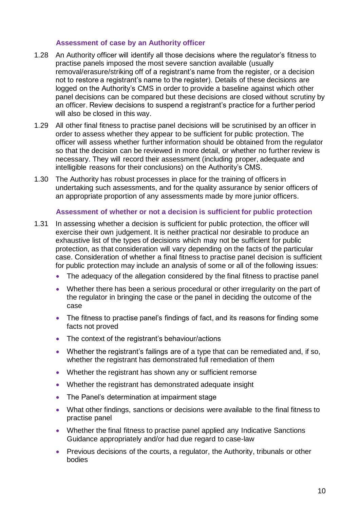#### **Assessment of case by an Authority officer**

- 1.28 An Authority officer will identify all those decisions where the regulator's fitness to practise panels imposed the most severe sanction available (usually removal/erasure/striking off of a registrant's name from the register, or a decision not to restore a registrant's name to the register). Details of these decisions are logged on the Authority's CMS in order to provide a baseline against which other panel decisions can be compared but these decisions are closed without scrutiny by an officer. Review decisions to suspend a registrant's practice for a further period will also be closed in this way.
- 1.29 All other final fitness to practise panel decisions will be scrutinised by an officer in order to assess whether they appear to be sufficient for public protection. The officer will assess whether further information should be obtained from the regulator so that the decision can be reviewed in more detail, or whether no further review is necessary. They will record their assessment (including proper, adequate and intelligible reasons for their conclusions) on the Authority's CMS.
- 1.30 The Authority has robust processes in place for the training of officers in undertaking such assessments, and for the quality assurance by senior officers of an appropriate proportion of any assessments made by more junior officers.

#### **Assessment of whether or not a decision is sufficient for public protection**

- 1.31 In assessing whether a decision is sufficient for public protection, the officer will exercise their own judgement. It is neither practical nor desirable to produce an exhaustive list of the types of decisions which may not be sufficient for public protection, as that consideration will vary depending on the facts of the particular case. Consideration of whether a final fitness to practise panel decision is sufficient for public protection may include an analysis of some or all of the following issues:
	- The adequacy of the allegation considered by the final fitness to practise panel
	- Whether there has been a serious procedural or other irregularity on the part of the regulator in bringing the case or the panel in deciding the outcome of the case
	- The fitness to practise panel's findings of fact, and its reasons for finding some facts not proved
	- The context of the registrant's behaviour/actions
	- Whether the registrant's failings are of a type that can be remediated and, if so, whether the registrant has demonstrated full remediation of them
	- Whether the registrant has shown any or sufficient remorse
	- Whether the registrant has demonstrated adequate insight
	- The Panel's determination at impairment stage
	- What other findings, sanctions or decisions were available to the final fitness to practise panel
	- Whether the final fitness to practise panel applied any Indicative Sanctions Guidance appropriately and/or had due regard to case-law
	- Previous decisions of the courts, a regulator, the Authority, tribunals or other bodies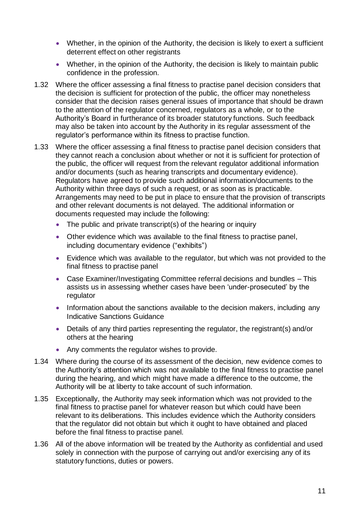- Whether, in the opinion of the Authority, the decision is likely to exert a sufficient deterrent effect on other registrants
- Whether, in the opinion of the Authority, the decision is likely to maintain public confidence in the profession.
- 1.32 Where the officer assessing a final fitness to practise panel decision considers that the decision is sufficient for protection of the public, the officer may nonetheless consider that the decision raises general issues of importance that should be drawn to the attention of the regulator concerned, regulators as a whole, or to the Authority's Board in furtherance of its broader statutory functions. Such feedback may also be taken into account by the Authority in its regular assessment of the regulator's performance within its fitness to practise function.
- 1.33 Where the officer assessing a final fitness to practise panel decision considers that they cannot reach a conclusion about whether or not it is sufficient for protection of the public, the officer will request from the relevant regulator additional information and/or documents (such as hearing transcripts and documentary evidence). Regulators have agreed to provide such additional information/documents to the Authority within three days of such a request, or as soon as is practicable. Arrangements may need to be put in place to ensure that the provision of transcripts and other relevant documents is not delayed. The additional information or documents requested may include the following:
	- The public and private transcript(s) of the hearing or inquiry
	- Other evidence which was available to the final fitness to practise panel, including documentary evidence ("exhibits")
	- Evidence which was available to the regulator, but which was not provided to the final fitness to practise panel
	- Case Examiner/Investigating Committee referral decisions and bundles This assists us in assessing whether cases have been 'under-prosecuted' by the regulator
	- Information about the sanctions available to the decision makers, including any Indicative Sanctions Guidance
	- Details of any third parties representing the regulator, the registrant(s) and/or others at the hearing
	- Any comments the regulator wishes to provide.
- 1.34 Where during the course of its assessment of the decision, new evidence comes to the Authority's attention which was not available to the final fitness to practise panel during the hearing, and which might have made a difference to the outcome, the Authority will be at liberty to take account of such information.
- 1.35 Exceptionally, the Authority may seek information which was not provided to the final fitness to practise panel for whatever reason but which could have been relevant to its deliberations. This includes evidence which the Authority considers that the regulator did not obtain but which it ought to have obtained and placed before the final fitness to practise panel.
- 1.36 All of the above information will be treated by the Authority as confidential and used solely in connection with the purpose of carrying out and/or exercising any of its statutory functions, duties or powers.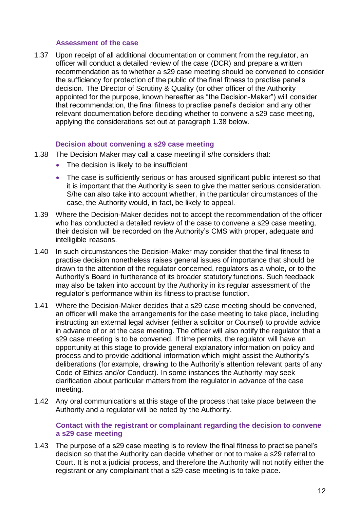#### **Assessment of the case**

<span id="page-11-1"></span>1.37 Upon receipt of all additional documentation or comment from the regulator, an officer will conduct a detailed review of the case (DCR) and prepare a written recommendation as to whether a s29 case meeting should be convened to consider the sufficiency for protection of the public of the final fitness to practise panel's decision. The Director of Scrutiny & Quality (or other officer of the Authority appointed for the purpose, known hereafter as "the Decision-Maker") will consider that recommendation, the final fitness to practise panel's decision and any other relevant documentation before deciding whether to convene a s29 case meeting, applying the considerations set out at paragraph [1.38](#page-11-0) below.

#### **Decision about convening a s29 case meeting**

- <span id="page-11-0"></span>1.38 The Decision Maker may call a case meeting if s/he considers that:
	- The decision is likely to be insufficient
	- The case is sufficiently serious or has aroused significant public interest so that it is important that the Authority is seen to give the matter serious consideration. S/he can also take into account whether, in the particular circumstances of the case, the Authority would, in fact, be likely to appeal.
- 1.39 Where the Decision-Maker decides not to accept the recommendation of the officer who has conducted a detailed review of the case to convene a s29 case meeting, their decision will be recorded on the Authority's CMS with proper, adequate and intelligible reasons.
- 1.40 In such circumstances the Decision-Maker may consider that the final fitness to practise decision nonetheless raises general issues of importance that should be drawn to the attention of the regulator concerned, regulators as a whole, or to the Authority's Board in furtherance of its broader statutory functions. Such feedback may also be taken into account by the Authority in its regular assessment of the regulator's performance within its fitness to practise function.
- 1.41 Where the Decision-Maker decides that a s29 case meeting should be convened, an officer will make the arrangements for the case meeting to take place, including instructing an external legal adviser (either a solicitor or Counsel) to provide advice in advance of or at the case meeting. The officer will also notify the regulator that a s29 case meeting is to be convened. If time permits, the regulator will have an opportunity at this stage to provide general explanatory information on policy and process and to provide additional information which might assist the Authority's deliberations (for example, drawing to the Authority's attention relevant parts of any Code of Ethics and/or Conduct). In some instances the Authority may seek clarification about particular matters from the regulator in advance of the case meeting.
- 1.42 Any oral communications at this stage of the process that take place between the Authority and a regulator will be noted by the Authority.

#### **Contact with the registrant or complainant regarding the decision to convene a s29 case meeting**

1.43 The purpose of a s29 case meeting is to review the final fitness to practise panel's decision so that the Authority can decide whether or not to make a s29 referral to Court. It is not a judicial process, and therefore the Authority will not notify either the registrant or any complainant that a s29 case meeting is to take place.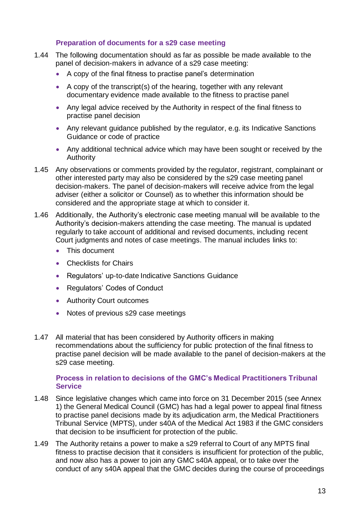### **Preparation of documents for a s29 case meeting**

- 1.44 The following documentation should as far as possible be made available to the panel of decision-makers in advance of a s29 case meeting:
	- A copy of the final fitness to practise panel's determination
	- A copy of the transcript(s) of the hearing, together with any relevant documentary evidence made available to the fitness to practise panel
	- Any legal advice received by the Authority in respect of the final fitness to practise panel decision
	- Any relevant guidance published by the regulator, e.g. its Indicative Sanctions Guidance or code of practice
	- Any additional technical advice which may have been sought or received by the Authority
- 1.45 Any observations or comments provided by the regulator, registrant, complainant or other interested party may also be considered by the s29 case meeting panel decision-makers. The panel of decision-makers will receive advice from the legal adviser (either a solicitor or Counsel) as to whether this information should be considered and the appropriate stage at which to consider it.
- 1.46 Additionally, the Authority's electronic case meeting manual will be available to the Authority's decision-makers attending the case meeting. The manual is updated regularly to take account of additional and revised documents, including recent Court judgments and notes of case meetings. The manual includes links to:
	- This document
	- Checklists for Chairs
	- Regulators' up-to-date Indicative Sanctions Guidance
	- Regulators' Codes of Conduct
	- Authority Court outcomes
	- Notes of previous s29 case meetings
- 1.47 All material that has been considered by Authority officers in making recommendations about the sufficiency for public protection of the final fitness to practise panel decision will be made available to the panel of decision-makers at the s29 case meeting.

#### **Process in relation to decisions of the GMC's Medical Practitioners Tribunal Service**

- <span id="page-12-0"></span>1.48 Since legislative changes which came into force on 31 December 2015 (see Annex 1) the General Medical Council (GMC) has had a legal power to appeal final fitness to practise panel decisions made by its adjudication arm, the Medical Practitioners Tribunal Service (MPTS), under s40A of the Medical Act 1983 if the GMC considers that decision to be insufficient for protection of the public.
- 1.49 The Authority retains a power to make a s29 referral to Court of any MPTS final fitness to practise decision that it considers is insufficient for protection of the public, and now also has a power to join any GMC s40A appeal, or to take over the conduct of any s40A appeal that the GMC decides during the course of proceedings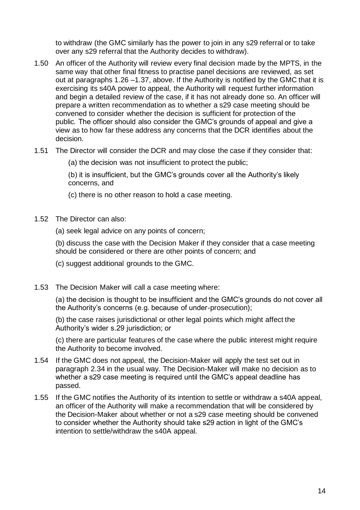to withdraw (the GMC similarly has the power to join in any s29 referral or to take over any s29 referral that the Authority decides to withdraw).

- 1.50 An officer of the Authority will review every final decision made by the MPTS, in the same way that other final fitness to practise panel decisions are reviewed, as set out at paragraphs [1.26](#page-8-0) [–1.37,](#page-11-1) above. If the Authority is notified by the GMC that it is exercising its s40A power to appeal, the Authority will request further information and begin a detailed review of the case, if it has not already done so. An officer will prepare a written recommendation as to whether a s29 case meeting should be convened to consider whether the decision is sufficient for protection of the public*.* The officer should also consider the GMC's grounds of appeal and give a view as to how far these address any concerns that the DCR identifies about the decision.
- 1.51 The Director will consider the DCR and may close the case if they consider that:

(a) the decision was not insufficient to protect the public;

(b) it is insufficient, but the GMC's grounds cover all the Authority's likely concerns, and

(c) there is no other reason to hold a case meeting.

- <span id="page-13-0"></span>1.52 The Director can also:
	- (a) seek legal advice on any points of concern;

(b) discuss the case with the Decision Maker if they consider that a case meeting should be considered or there are other points of concern; and

- (c) suggest additional grounds to the GMC.
- 1.53 The Decision Maker will call a case meeting where:

(a) the decision is thought to be insufficient and the GMC's grounds do not cover all the Authority's concerns (e.g. because of under-prosecution);

(b) the case raises jurisdictional or other legal points which might affect the Authority's wider s.29 jurisdiction; or

(c) there are particular features of the case where the public interest might require the Authority to become involved.

- 1.54 If the GMC does not appeal, the Decision-Maker will apply the test set out in paragraph 2.34 in the usual way. The Decision-Maker will make no decision as to whether a s29 case meeting is required until the GMC's appeal deadline has passed.
- 1.55 If the GMC notifies the Authority of its intention to settle or withdraw a s40A appeal, an officer of the Authority will make a recommendation that will be considered by the Decision-Maker about whether or not a s29 case meeting should be convened to consider whether the Authority should take s29 action in light of the GMC's intention to settle/withdraw the s40A appeal.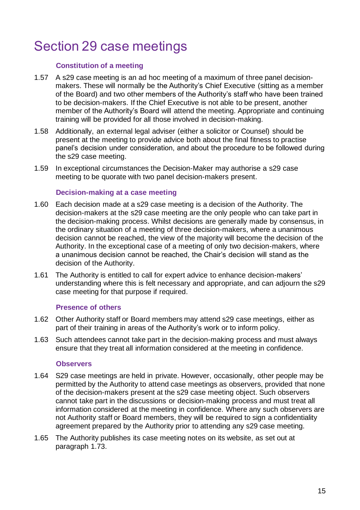# <span id="page-14-0"></span>Section 29 case meetings

#### **Constitution of a meeting**

- 1.57 A s29 case meeting is an ad hoc meeting of a maximum of three panel decisionmakers. These will normally be the Authority's Chief Executive (sitting as a member of the Board) and two other members of the Authority's staff who have been trained to be decision-makers. If the Chief Executive is not able to be present, another member of the Authority's Board will attend the meeting. Appropriate and continuing training will be provided for all those involved in decision-making.
- 1.58 Additionally, an external legal adviser (either a solicitor or Counsel) should be present at the meeting to provide advice both about the final fitness to practise panel's decision under consideration, and about the procedure to be followed during the s29 case meeting.
- 1.59 In exceptional circumstances the Decision-Maker may authorise a s29 case meeting to be quorate with two panel decision-makers present.

#### **Decision-making at a case meeting**

- 1.60 Each decision made at a s29 case meeting is a decision of the Authority. The decision-makers at the s29 case meeting are the only people who can take part in the decision-making process. Whilst decisions are generally made by consensus, in the ordinary situation of a meeting of three decision-makers, where a unanimous decision cannot be reached, the view of the majority will become the decision of the Authority. In the exceptional case of a meeting of only two decision-makers, where a unanimous decision cannot be reached, the Chair's decision will stand as the decision of the Authority.
- 1.61 The Authority is entitled to call for expert advice to enhance decision-makers' understanding where this is felt necessary and appropriate, and can adjourn the s29 case meeting for that purpose if required.

#### **Presence of others**

- 1.62 Other Authority staff or Board members may attend s29 case meetings, either as part of their training in areas of the Authority's work or to inform policy.
- 1.63 Such attendees cannot take part in the decision-making process and must always ensure that they treat all information considered at the meeting in confidence.

#### **Observers**

- 1.64 S29 case meetings are held in private. However, occasionally, other people may be permitted by the Authority to attend case meetings as observers, provided that none of the decision-makers present at the s29 case meeting object. Such observers cannot take part in the discussions or decision-making process and must treat all information considered at the meeting in confidence. Where any such observers are not Authority staff or Board members, they will be required to sign a confidentiality agreement prepared by the Authority prior to attending any s29 case meeting.
- 1.65 The Authority publishes its case meeting notes on its website, as set out at paragraph [1.73.](#page-16-0)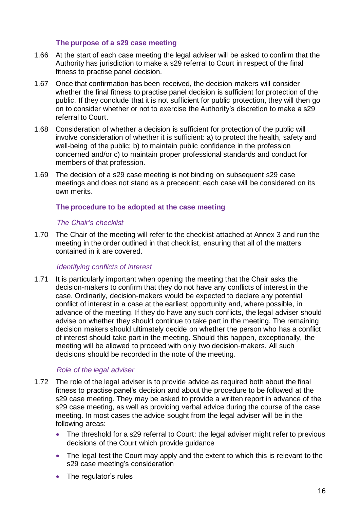#### **The purpose of a s29 case meeting**

- 1.66 At the start of each case meeting the legal adviser will be asked to confirm that the Authority has jurisdiction to make a s29 referral to Court in respect of the final fitness to practise panel decision.
- 1.67 Once that confirmation has been received, the decision makers will consider whether the final fitness to practise panel decision is sufficient for protection of the public. If they conclude that it is not sufficient for public protection, they will then go on to consider whether or not to exercise the Authority's discretion to make a s29 referral to Court.
- 1.68 Consideration of whether a decision is sufficient for protection of the public will involve consideration of whether it is sufficient: a) to protect the health, safety and well-being of the public; b) to maintain public confidence in the profession concerned and/or c) to maintain proper professional standards and conduct for members of that profession.
- 1.69 The decision of a s29 case meeting is not binding on subsequent s29 case meetings and does not stand as a precedent; each case will be considered on its own merits.

### **The procedure to be adopted at the case meeting**

#### *The Chair's checklist*

1.70 The Chair of the meeting will refer to the checklist attached at Annex 3 and run the meeting in the order outlined in that checklist, ensuring that all of the matters contained in it are covered.

#### *Identifying conflicts of interest*

1.71 It is particularly important when opening the meeting that the Chair asks the decision-makers to confirm that they do not have any conflicts of interest in the case. Ordinarily, decision-makers would be expected to declare any potential conflict of interest in a case at the earliest opportunity and, where possible, in advance of the meeting. If they do have any such conflicts, the legal adviser should advise on whether they should continue to take part in the meeting. The remaining decision makers should ultimately decide on whether the person who has a conflict of interest should take part in the meeting. Should this happen, exceptionally, the meeting will be allowed to proceed with only two decision-makers. All such decisions should be recorded in the note of the meeting.

#### *Role of the legal adviser*

- 1.72 The role of the legal adviser is to provide advice as required both about the final fitness to practise panel's decision and about the procedure to be followed at the s29 case meeting. They may be asked to provide a written report in advance of the s29 case meeting, as well as providing verbal advice during the course of the case meeting. In most cases the advice sought from the legal adviser will be in the following areas:
	- The threshold for a s29 referral to Court: the legal adviser might refer to previous decisions of the Court which provide guidance
	- The legal test the Court may apply and the extent to which this is relevant to the s29 case meeting's consideration
	- The regulator's rules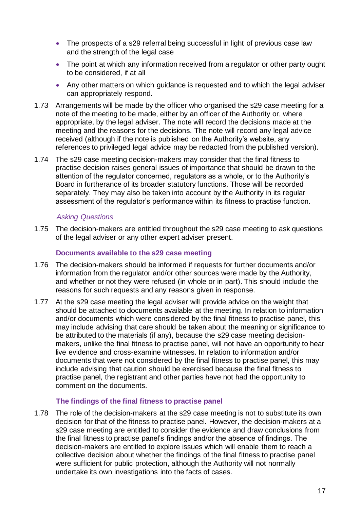- The prospects of a s29 referral being successful in light of previous case law and the strength of the legal case
- The point at which any information received from a regulator or other party ought to be considered, if at all
- Any other matters on which guidance is requested and to which the legal adviser can appropriately respond.
- <span id="page-16-0"></span>1.73 Arrangements will be made by the officer who organised the s29 case meeting for a note of the meeting to be made, either by an officer of the Authority or, where appropriate, by the legal adviser. The note will record the decisions made at the meeting and the reasons for the decisions. The note will record any legal advice received (although if the note is published on the Authority's website, any references to privileged legal advice may be redacted from the published version).
- 1.74 The s29 case meeting decision-makers may consider that the final fitness to practise decision raises general issues of importance that should be drawn to the attention of the regulator concerned, regulators as a whole, or to the Authority's Board in furtherance of its broader statutory functions. Those will be recorded separately. They may also be taken into account by the Authority in its regular assessment of the regulator's performance within its fitness to practise function.

#### *Asking Questions*

1.75 The decision-makers are entitled throughout the s29 case meeting to ask questions of the legal adviser or any other expert adviser present.

#### **Documents available to the s29 case meeting**

- 1.76 The decision-makers should be informed if requests for further documents and/or information from the regulator and/or other sources were made by the Authority, and whether or not they were refused (in whole or in part). This should include the reasons for such requests and any reasons given in response.
- 1.77 At the s29 case meeting the legal adviser will provide advice on the weight that should be attached to documents available at the meeting. In relation to information and/or documents which were considered by the final fitness to practise panel, this may include advising that care should be taken about the meaning or significance to be attributed to the materials (if any), because the s29 case meeting decisionmakers, unlike the final fitness to practise panel, will not have an opportunity to hear live evidence and cross-examine witnesses. In relation to information and/or documents that were not considered by the final fitness to practise panel, this may include advising that caution should be exercised because the final fitness to practise panel, the registrant and other parties have not had the opportunity to comment on the documents.

#### **The findings of the final fitness to practise panel**

1.78 The role of the decision-makers at the s29 case meeting is not to substitute its own decision for that of the fitness to practise panel. However, the decision-makers at a s29 case meeting are entitled to consider the evidence and draw conclusions from the final fitness to practise panel's findings and/or the absence of findings. The decision-makers are entitled to explore issues which will enable them to reach a collective decision about whether the findings of the final fitness to practise panel were sufficient for public protection, although the Authority will not normally undertake its own investigations into the facts of cases.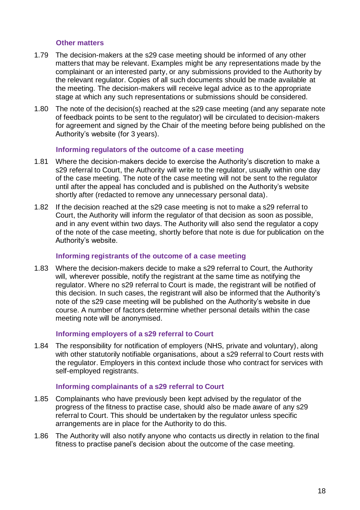#### **Other matters**

- 1.79 The decision-makers at the s29 case meeting should be informed of any other matters that may be relevant. Examples might be any representations made by the complainant or an interested party, or any submissions provided to the Authority by the relevant regulator. Copies of all such documents should be made available at the meeting. The decision-makers will receive legal advice as to the appropriate stage at which any such representations or submissions should be considered.
- 1.80 The note of the decision(s) reached at the s29 case meeting (and any separate note of feedback points to be sent to the regulator) will be circulated to decision-makers for agreement and signed by the Chair of the meeting before being published on the Authority's website (for 3 years).

#### **Informing regulators of the outcome of a case meeting**

- 1.81 Where the decision-makers decide to exercise the Authority's discretion to make a s29 referral to Court, the Authority will write to the regulator, usually within one day of the case meeting. The note of the case meeting will not be sent to the regulator until after the appeal has concluded and is published on the Authority's website shortly after (redacted to remove any unnecessary personal data).
- 1.82 If the decision reached at the s29 case meeting is not to make a s29 referral to Court, the Authority will inform the regulator of that decision as soon as possible, and in any event within two days. The Authority will also send the regulator a copy of the note of the case meeting, shortly before that note is due for publication on the Authority's website.

#### **Informing registrants of the outcome of a case meeting**

1.83 Where the decision-makers decide to make a s29 referral to Court, the Authority will, wherever possible, notify the registrant at the same time as notifying the regulator. Where no s29 referral to Court is made, the registrant will be notified of this decision. In such cases, the registrant will also be informed that the Authority's note of the s29 case meeting will be published on the Authority's website in due course. A number of factors determine whether personal details within the case meeting note will be anonymised.

#### **Informing employers of a s29 referral to Court**

1.84 The responsibility for notification of employers (NHS, private and voluntary), along with other statutorily notifiable organisations, about a s29 referral to Court rests with the regulator. Employers in this context include those who contract for services with self-employed registrants.

#### **Informing complainants of a s29 referral to Court**

- 1.85 Complainants who have previously been kept advised by the regulator of the progress of the fitness to practise case, should also be made aware of any s29 referral to Court. This should be undertaken by the regulator unless specific arrangements are in place for the Authority to do this.
- 1.86 The Authority will also notify anyone who contacts us directly in relation to the final fitness to practise panel's decision about the outcome of the case meeting.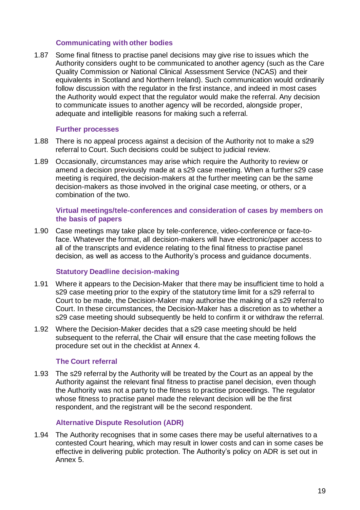#### **Communicating with other bodies**

1.87 Some final fitness to practise panel decisions may give rise to issues which the Authority considers ought to be communicated to another agency (such as the Care Quality Commission or National Clinical Assessment Service (NCAS) and their equivalents in Scotland and Northern Ireland). Such communication would ordinarily follow discussion with the regulator in the first instance, and indeed in most cases the Authority would expect that the regulator would make the referral. Any decision to communicate issues to another agency will be recorded, alongside proper, adequate and intelligible reasons for making such a referral.

#### **Further processes**

- 1.88 There is no appeal process against a decision of the Authority not to make a s29 referral to Court. Such decisions could be subject to judicial review.
- 1.89 Occasionally, circumstances may arise which require the Authority to review or amend a decision previously made at a s29 case meeting. When a further s29 case meeting is required, the decision-makers at the further meeting can be the same decision-makers as those involved in the original case meeting, or others, or a combination of the two.

#### **Virtual meetings/tele-conferences and consideration of cases by members on the basis of papers**

1.90 Case meetings may take place by tele-conference, video-conference or face-toface. Whatever the format, all decision-makers will have electronic/paper access to all of the transcripts and evidence relating to the final fitness to practise panel decision, as well as access to the Authority's process and guidance documents.

#### **Statutory Deadline decision-making**

- <span id="page-18-0"></span>1.91 Where it appears to the Decision-Maker that there may be insufficient time to hold a s29 case meeting prior to the expiry of the statutory time limit for a s29 referral to Court to be made, the Decision-Maker may authorise the making of a s29 referral to Court. In these circumstances, the Decision-Maker has a discretion as to whether a s29 case meeting should subsequently be held to confirm it or withdraw the referral.
- <span id="page-18-1"></span>1.92 Where the Decision-Maker decides that a s29 case meeting should be held subsequent to the referral, the Chair will ensure that the case meeting follows the procedure set out in the checklist at Annex 4.

#### **The Court referral**

1.93 The s29 referral by the Authority will be treated by the Court as an appeal by the Authority against the relevant final fitness to practise panel decision, even though the Authority was not a party to the fitness to practise proceedings. The regulator whose fitness to practise panel made the relevant decision will be the first respondent, and the registrant will be the second respondent.

# **Alternative Dispute Resolution (ADR)**

1.94 The Authority recognises that in some cases there may be useful alternatives to a contested Court hearing, which may result in lower costs and can in some cases be effective in delivering public protection. The Authority's policy on ADR is set out in Annex 5.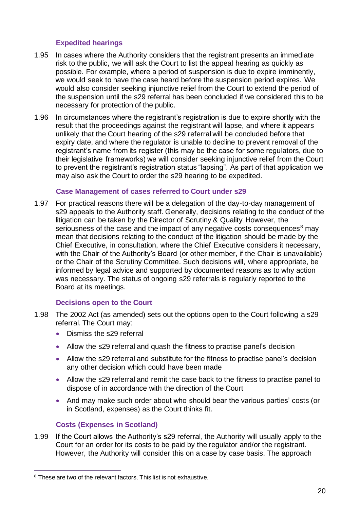### **Expedited hearings**

- 1.95 In cases where the Authority considers that the registrant presents an immediate risk to the public, we will ask the Court to list the appeal hearing as quickly as possible. For example, where a period of suspension is due to expire imminently, we would seek to have the case heard before the suspension period expires. We would also consider seeking injunctive relief from the Court to extend the period of the suspension until the s29 referral has been concluded if we considered this to be necessary for protection of the public.
- 1.96 In circumstances where the registrant's registration is due to expire shortly with the result that the proceedings against the registrant will lapse, and where it appears unlikely that the Court hearing of the s29 referral will be concluded before that expiry date, and where the regulator is unable to decline to prevent removal of the registrant's name from its register (this may be the case for some regulators, due to their legislative frameworks) we will consider seeking injunctive relief from the Court to prevent the registrant's registration status "lapsing". As part of that application we may also ask the Court to order the s29 hearing to be expedited.

#### **Case Management of cases referred to Court under s29**

1.97 For practical reasons there will be a delegation of the day-to-day management of s29 appeals to the Authority staff. Generally, decisions relating to the conduct of the litigation can be taken by the Director of Scrutiny & Quality. However, the seriousness of the case and the impact of any negative costs consequences<sup>8</sup> may mean that decisions relating to the conduct of the litigation should be made by the Chief Executive, in consultation, where the Chief Executive considers it necessary, with the Chair of the Authority's Board (or other member, if the Chair is unavailable) or the Chair of the Scrutiny Committee. Such decisions will, where appropriate, be informed by legal advice and supported by documented reasons as to why action was necessary. The status of ongoing s29 referrals is regularly reported to the Board at its meetings.

#### **Decisions open to the Court**

- 1.98 The 2002 Act (as amended) sets out the options open to the Court following a s29 referral. The Court may:
	- Dismiss the s29 referral
	- Allow the s29 referral and quash the fitness to practise panel's decision
	- Allow the s29 referral and substitute for the fitness to practise panel's decision any other decision which could have been made
	- Allow the s29 referral and remit the case back to the fitness to practise panel to dispose of in accordance with the direction of the Court
	- And may make such order about who should bear the various parties' costs (or in Scotland, expenses) as the Court thinks fit.

# **Costs (Expenses in Scotland)**

1.99 If the Court allows the Authority's s29 referral, the Authority will usually apply to the Court for an order for its costs to be paid by the regulator and/or the registrant. However, the Authority will consider this on a case by case basis. The approach

<sup>&</sup>lt;sup>8</sup> These are two of the relevant factors. This list is not exhaustive.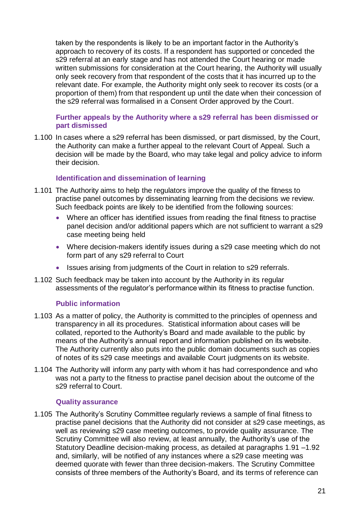taken by the respondents is likely to be an important factor in the Authority's approach to recovery of its costs. If a respondent has supported or conceded the s29 referral at an early stage and has not attended the Court hearing or made written submissions for consideration at the Court hearing, the Authority will usually only seek recovery from that respondent of the costs that it has incurred up to the relevant date. For example, the Authority might only seek to recover its costs (or a proportion of them) from that respondent up until the date when their concession of the s29 referral was formalised in a Consent Order approved by the Court.

#### **Further appeals by the Authority where a s29 referral has been dismissed or part dismissed**

1.100 In cases where a s29 referral has been dismissed, or part dismissed, by the Court, the Authority can make a further appeal to the relevant Court of Appeal. Such a decision will be made by the Board, who may take legal and policy advice to inform their decision.

### **Identification and dissemination of learning**

- 1.101 The Authority aims to help the regulators improve the quality of the fitness to practise panel outcomes by disseminating learning from the decisions we review. Such feedback points are likely to be identified from the following sources:
	- Where an officer has identified issues from reading the final fitness to practise panel decision and/or additional papers which are not sufficient to warrant a s29 case meeting being held
	- Where decision-makers identify issues during a s29 case meeting which do not form part of any s29 referral to Court
	- Issues arising from judgments of the Court in relation to s29 referrals.
- 1.102 Such feedback may be taken into account by the Authority in its regular assessments of the regulator's performance within its fitness to practise function.

#### **Public information**

- 1.103 As a matter of policy, the Authority is committed to the principles of openness and transparency in all its procedures. Statistical information about cases will be collated, reported to the Authority's Board and made available to the public by means of the Authority's annual report and information published on its website. The Authority currently also puts into the public domain documents such as copies of notes of its s29 case meetings and available Court judgments on its website.
- 1.104 The Authority will inform any party with whom it has had correspondence and who was not a party to the fitness to practise panel decision about the outcome of the s29 referral to Court.

#### **Quality assurance**

1.105 The Authority's Scrutiny Committee regularly reviews a sample of final fitness to practise panel decisions that the Authority did not consider at s29 case meetings, as well as reviewing s29 case meeting outcomes, to provide quality assurance. The Scrutiny Committee will also review, at least annually, the Authority's use of the Statutory Deadline decision-making process, as detailed at paragraphs [1.91](#page-18-0) [–1.92](#page-18-1) and, similarly, will be notified of any instances where a s29 case meeting was deemed quorate with fewer than three decision-makers. The Scrutiny Committee consists of three members of the Authority's Board, and its terms of reference can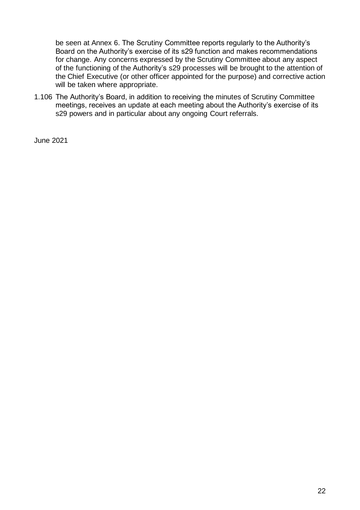be seen at Annex 6. The Scrutiny Committee reports regularly to the Authority's Board on the Authority's exercise of its s29 function and makes recommendations for change. Any concerns expressed by the Scrutiny Committee about any aspect of the functioning of the Authority's s29 processes will be brought to the attention of the Chief Executive (or other officer appointed for the purpose) and corrective action will be taken where appropriate.

1.106 The Authority's Board, in addition to receiving the minutes of Scrutiny Committee meetings, receives an update at each meeting about the Authority's exercise of its s29 powers and in particular about any ongoing Court referrals.

June 2021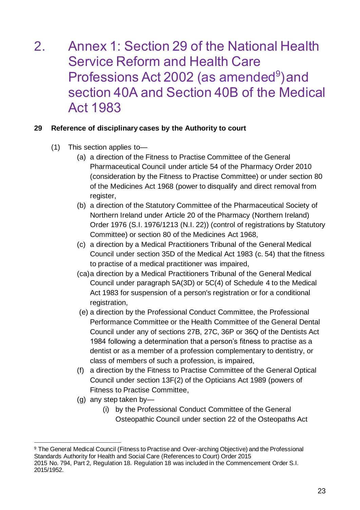# <span id="page-22-0"></span>2. Annex 1: Section 29 of the National Health Service Reform and Health Care Professions Act 2002 (as amended<sup>9</sup>) and section 40A and Section 40B of the Medical Act 1983

# **29 Reference of disciplinary cases by the Authority to court**

- (1) This section applies to—
	- (a) a direction of the Fitness to Practise Committee of the General Pharmaceutical Council under article 54 of the Pharmacy Order 2010 (consideration by the Fitness to Practise Committee) or under section 80 of the Medicines Act 1968 (power to disqualify and direct removal from register,
	- (b) a direction of the Statutory Committee of the Pharmaceutical Society of Northern Ireland under Article 20 of the Pharmacy (Northern Ireland) Order 1976 (S.I. 1976/1213 (N.I. 22)) (control of registrations by Statutory Committee) or section 80 of the Medicines Act 1968,
	- (c) a direction by a Medical Practitioners Tribunal of the General Medical Council under section 35D of the Medical Act 1983 (c. 54) that the fitness to practise of a medical practitioner was impaired,
	- (ca)a direction by a Medical Practitioners Tribunal of the General Medical Council under paragraph 5A(3D) or 5C(4) of Schedule 4 to the Medical Act 1983 for suspension of a person's registration or for a conditional registration,
	- (e) a direction by the Professional Conduct Committee, the Professional Performance Committee or the Health Committee of the General Dental Council under any of sections 27B, 27C, 36P or 36Q of the Dentists Act 1984 following a determination that a person's fitness to practise as a dentist or as a member of a profession complementary to dentistry, or class of members of such a profession, is impaired,
	- (f) a direction by the Fitness to Practise Committee of the General Optical Council under section 13F(2) of the Opticians Act 1989 (powers of Fitness to Practise Committee,
	- (g) any step taken by—
		- (i) by the Professional Conduct Committee of the General Osteopathic Council under section 22 of the Osteopaths Act

<sup>&</sup>lt;sup>9</sup> The General Medical Council (Fitness to Practise and Over-arching Objective) and the Professional Standards Authority for Health and Social Care (References to Court) Order 2015 2015 No. 794, Part 2, Regulation 18. Regulation 18 was included in the Commencement Order S.I. 2015/1952.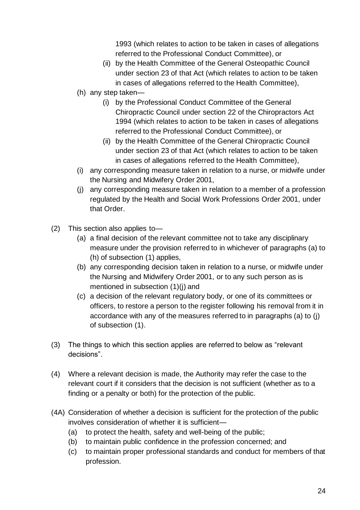1993 (which relates to action to be taken in cases of allegations referred to the Professional Conduct Committee), or

- (ii) by the Health Committee of the General Osteopathic Council under section 23 of that Act (which relates to action to be taken in cases of allegations referred to the Health Committee),
- (h) any step taken—
	- (i) by the Professional Conduct Committee of the General Chiropractic Council under section 22 of the Chiropractors Act 1994 (which relates to action to be taken in cases of allegations referred to the Professional Conduct Committee), or
	- (ii) by the Health Committee of the General Chiropractic Council under section 23 of that Act (which relates to action to be taken in cases of allegations referred to the Health Committee),
- (i) any corresponding measure taken in relation to a nurse, or midwife under the Nursing and Midwifery Order 2001,
- (j) any corresponding measure taken in relation to a member of a profession regulated by the Health and Social Work Professions Order 2001, under that Order.
- (2) This section also applies to—
	- (a) a final decision of the relevant committee not to take any disciplinary measure under the provision referred to in whichever of paragraphs (a) to (h) of subsection (1) applies,
	- (b) any corresponding decision taken in relation to a nurse, or midwife under the Nursing and Midwifery Order 2001, or to any such person as is mentioned in subsection (1)(j) and
	- (c) a decision of the relevant regulatory body, or one of its committees or officers, to restore a person to the register following his removal from it in accordance with any of the measures referred to in paragraphs (a) to (j) of subsection (1).
- (3) The things to which this section applies are referred to below as "relevant decisions".
- (4) Where a relevant decision is made, the Authority may refer the case to the relevant court if it considers that the decision is not sufficient (whether as to a finding or a penalty or both) for the protection of the public.
- (4A) Consideration of whether a decision is sufficient for the protection of the public involves consideration of whether it is sufficient—
	- (a) to protect the health, safety and well-being of the public;
	- (b) to maintain public confidence in the profession concerned; and
	- (c) to maintain proper professional standards and conduct for members of that profession.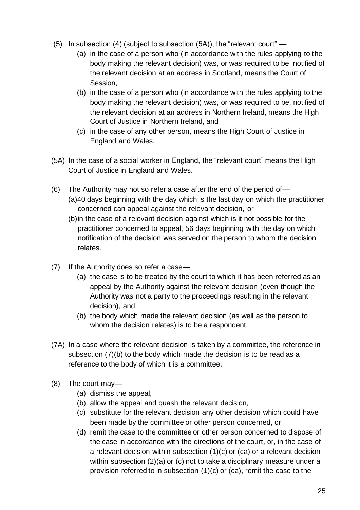- (5) In subsection (4) (subject to subsection (5A)), the "relevant court"
	- (a) in the case of a person who (in accordance with the rules applying to the body making the relevant decision) was, or was required to be, notified of the relevant decision at an address in Scotland, means the Court of Session,
	- (b) in the case of a person who (in accordance with the rules applying to the body making the relevant decision) was, or was required to be, notified of the relevant decision at an address in Northern Ireland, means the High Court of Justice in Northern Ireland, and
	- (c) in the case of any other person, means the High Court of Justice in England and Wales.
- (5A) In the case of a social worker in England, the "relevant court" means the High Court of Justice in England and Wales.
- (6) The Authority may not so refer a case after the end of the period of— (a)40 days beginning with the day which is the last day on which the practitioner concerned can appeal against the relevant decision, or
	- (b)in the case of a relevant decision against which is it not possible for the practitioner concerned to appeal, 56 days beginning with the day on which notification of the decision was served on the person to whom the decision relates.
- (7) If the Authority does so refer a case—
	- (a) the case is to be treated by the court to which it has been referred as an appeal by the Authority against the relevant decision (even though the Authority was not a party to the proceedings resulting in the relevant decision), and
	- (b) the body which made the relevant decision (as well as the person to whom the decision relates) is to be a respondent.
- (7A) In a case where the relevant decision is taken by a committee, the reference in subsection (7)(b) to the body which made the decision is to be read as a reference to the body of which it is a committee.
- (8) The court may—
	- (a) dismiss the appeal,
	- (b) allow the appeal and quash the relevant decision,
	- (c) substitute for the relevant decision any other decision which could have been made by the committee or other person concerned, or
	- (d) remit the case to the committee or other person concerned to dispose of the case in accordance with the directions of the court, or, in the case of a relevant decision within subsection  $(1)(c)$  or  $(ca)$  or a relevant decision within subsection (2)(a) or (c) not to take a disciplinary measure under a provision referred to in subsection  $(1)(c)$  or  $(ca)$ , remit the case to the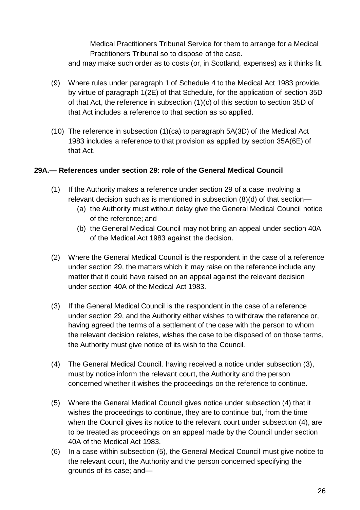Medical Practitioners Tribunal Service for them to arrange for a Medical Practitioners Tribunal so to dispose of the case. and may make such order as to costs (or, in Scotland, expenses) as it thinks fit.

- (9) Where rules under paragraph 1 of Schedule 4 to the Medical Act 1983 provide, by virtue of paragraph 1(2E) of that Schedule, for the application of section 35D of that Act, the reference in subsection (1)(c) of this section to section 35D of that Act includes a reference to that section as so applied.
- (10) The reference in subsection (1)(ca) to paragraph 5A(3D) of the Medical Act 1983 includes a reference to that provision as applied by section 35A(6E) of that Act.

### **29A.— References under section 29: role of the General Medical Council**

- (1) If the Authority makes a reference under section 29 of a case involving a relevant decision such as is mentioned in subsection (8)(d) of that section—
	- (a) the Authority must without delay give the General Medical Council notice of the reference; and
	- (b) the General Medical Council may not bring an appeal under section 40A of the Medical Act 1983 against the decision.
- (2) Where the General Medical Council is the respondent in the case of a reference under section 29, the matters which it may raise on the reference include any matter that it could have raised on an appeal against the relevant decision under section 40A of the Medical Act 1983.
- (3) If the General Medical Council is the respondent in the case of a reference under section 29, and the Authority either wishes to withdraw the reference or, having agreed the terms of a settlement of the case with the person to whom the relevant decision relates, wishes the case to be disposed of on those terms, the Authority must give notice of its wish to the Council.
- (4) The General Medical Council, having received a notice under subsection (3), must by notice inform the relevant court, the Authority and the person concerned whether it wishes the proceedings on the reference to continue.
- (5) Where the General Medical Council gives notice under subsection (4) that it wishes the proceedings to continue, they are to continue but, from the time when the Council gives its notice to the relevant court under subsection (4), are to be treated as proceedings on an appeal made by the Council under section 40A of the Medical Act 1983.
- (6) In a case within subsection (5), the General Medical Council must give notice to the relevant court, the Authority and the person concerned specifying the grounds of its case; and—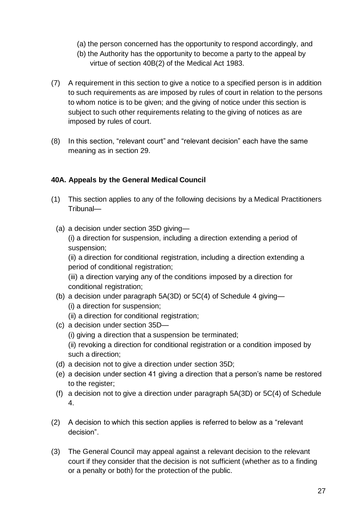- (a) the person concerned has the opportunity to respond accordingly, and
- (b) the Authority has the opportunity to become a party to the appeal by virtue of section 40B(2) of the Medical Act 1983.
- (7) A requirement in this section to give a notice to a specified person is in addition to such requirements as are imposed by rules of court in relation to the persons to whom notice is to be given; and the giving of notice under this section is subject to such other requirements relating to the giving of notices as are imposed by rules of court.
- (8) In this section, "relevant court" and "relevant decision" each have the same meaning as in section 29.

# **40A. Appeals by the General Medical Council**

- (1) This section applies to any of the following decisions by a Medical Practitioners Tribunal—
	- (a) a decision under section 35D giving—

(i) a direction for suspension, including a direction extending a period of suspension;

(ii) a direction for conditional registration, including a direction extending a period of conditional registration;

(iii) a direction varying any of the conditions imposed by a direction for conditional registration;

- (b) a decision under paragraph 5A(3D) or 5C(4) of Schedule 4 giving— (i) a direction for suspension;
	- (ii) a direction for conditional registration;
- (c) a decision under section 35D—
	- (i) giving a direction that a suspension be terminated;
	- (ii) revoking a direction for conditional registration or a condition imposed by such a direction;
- (d) a decision not to give a direction under section 35D;
- (e) a decision under section 41 giving a direction that a person's name be restored to the register;
- (f) a decision not to give a direction under paragraph 5A(3D) or 5C(4) of Schedule 4.
- (2) A decision to which this section applies is referred to below as a "relevant decision".
- (3) The General Council may appeal against a relevant decision to the relevant court if they consider that the decision is not sufficient (whether as to a finding or a penalty or both) for the protection of the public.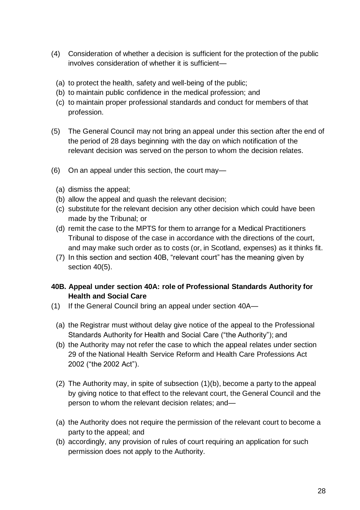- (4) Consideration of whether a decision is sufficient for the protection of the public involves consideration of whether it is sufficient—
	- (a) to protect the health, safety and well-being of the public;
	- (b) to maintain public confidence in the medical profession; and
	- (c) to maintain proper professional standards and conduct for members of that profession.
- (5) The General Council may not bring an appeal under this section after the end of the period of 28 days beginning with the day on which notification of the relevant decision was served on the person to whom the decision relates.
- (6) On an appeal under this section, the court may—
	- (a) dismiss the appeal;
	- (b) allow the appeal and quash the relevant decision;
	- (c) substitute for the relevant decision any other decision which could have been made by the Tribunal; or
	- (d) remit the case to the MPTS for them to arrange for a Medical Practitioners Tribunal to dispose of the case in accordance with the directions of the court, and may make such order as to costs (or, in Scotland, expenses) as it thinks fit.
	- (7) In this section and section 40B, "relevant court" has the meaning given by section 40(5).
- **40B. Appeal under section 40A: role of Professional Standards Authority for Health and Social Care**
- (1) If the General Council bring an appeal under section 40A—
	- (a) the Registrar must without delay give notice of the appeal to the Professional Standards Authority for Health and Social Care ("the Authority"); and
	- (b) the Authority may not refer the case to which the appeal relates under section 29 of the National Health Service Reform and Health Care Professions Act 2002 ("the 2002 Act").
	- (2) The Authority may, in spite of subsection (1)(b), become a party to the appeal by giving notice to that effect to the relevant court, the General Council and the person to whom the relevant decision relates; and—
	- (a) the Authority does not require the permission of the relevant court to become a party to the appeal; and
	- (b) accordingly, any provision of rules of court requiring an application for such permission does not apply to the Authority.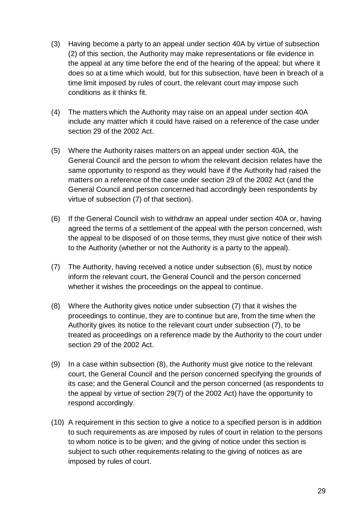- (3) Having become a party to an appeal under section 40A by virtue of subsection (2) of this section, the Authority may make representations or file evidence in the appeal at any time before the end of the hearing of the appeal; but where it does so at a time which would, but for this subsection, have been in breach of a time limit imposed by rules of court, the relevant court may impose such conditions as it thinks fit.
- (4) The matters which the Authority may raise on an appeal under section 40A include any matter which it could have raised on a reference of the case under section 29 of the 2002 Act.
- (5) Where the Authority raises matters on an appeal under section 40A, the General Council and the person to whom the relevant decision relates have the same opportunity to respond as they would have if the Authority had raised the matters on a reference of the case under section 29 of the 2002 Act (and the General Council and person concerned had accordingly been respondents by virtue of subsection (7) of that section).
- (6) If the General Council wish to withdraw an appeal under section 40A or, having agreed the terms of a settlement of the appeal with the person concerned, wish the appeal to be disposed of on those terms, they must give notice of their wish to the Authority (whether or not the Authority is a party to the appeal).
- (7) The Authority, having received a notice under subsection (6), must by notice inform the relevant court, the General Council and the person concerned whether it wishes the proceedings on the appeal to continue.
- (8) Where the Authority gives notice under subsection (7) that it wishes the proceedings to continue, they are to continue but are, from the time when the Authority gives its notice to the relevant court under subsection (7), to be treated as proceedings on a reference made by the Authority to the court under section 29 of the 2002 Act.
- (9) In a case within subsection (8), the Authority must give notice to the relevant court, the General Council and the person concerned specifying the grounds of its case; and the General Council and the person concerned (as respondents to the appeal by virtue of section 29(7) of the 2002 Act) have the opportunity to respond accordingly.
- (10) A requirement in this section to give a notice to a specified person is in addition to such requirements as are imposed by rules of court in relation to the persons to whom notice is to be given; and the giving of notice under this section is subject to such other requirements relating to the giving of notices as are imposed by rules of court.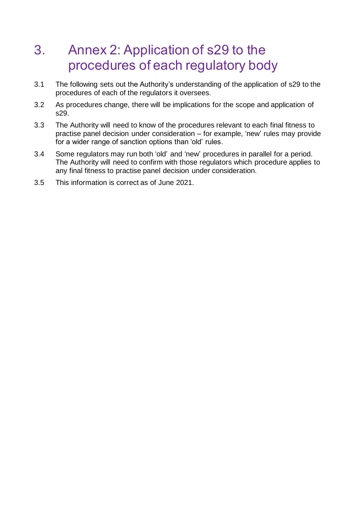# <span id="page-29-0"></span>3. Annex 2: Application of s29 to the procedures of each regulatory body

- 3.1 The following sets out the Authority's understanding of the application of s29 to the procedures of each of the regulators it oversees.
- 3.2 As procedures change, there will be implications for the scope and application of s29.
- 3.3 The Authority will need to know of the procedures relevant to each final fitness to practise panel decision under consideration – for example, 'new' rules may provide for a wider range of sanction options than 'old' rules.
- 3.4 Some regulators may run both 'old' and 'new' procedures in parallel for a period. The Authority will need to confirm with those regulators which procedure applies to any final fitness to practise panel decision under consideration.
- 3.5 This information is correct as of June 2021.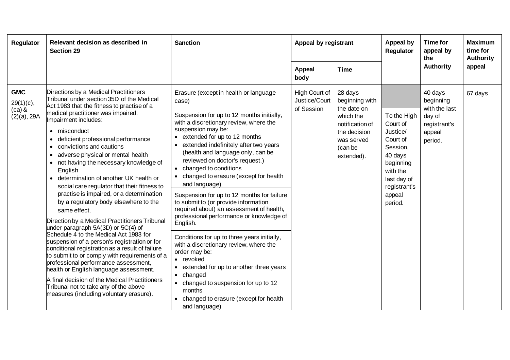| Regulator                                                | Relevant decision as described in<br><b>Section 29</b>                                                                                                                                                                                                                                                                                                                                                                                                                                                                                                                                                                                                                                                                                                                                                                                                                                                                                                                                                                                                                                        | <b>Sanction</b>                                                                                                                                                                                                                                                                                                                                                                                                                                                                                                                                                                                                                                                                                                                                                                                                                                                                                   |                                              | Appeal by registrant                                                                                                            |                                                                                                                                                     | Time for<br>appeal by<br>the                                                         | <b>Maximum</b><br>time for<br><b>Authority</b> |
|----------------------------------------------------------|-----------------------------------------------------------------------------------------------------------------------------------------------------------------------------------------------------------------------------------------------------------------------------------------------------------------------------------------------------------------------------------------------------------------------------------------------------------------------------------------------------------------------------------------------------------------------------------------------------------------------------------------------------------------------------------------------------------------------------------------------------------------------------------------------------------------------------------------------------------------------------------------------------------------------------------------------------------------------------------------------------------------------------------------------------------------------------------------------|---------------------------------------------------------------------------------------------------------------------------------------------------------------------------------------------------------------------------------------------------------------------------------------------------------------------------------------------------------------------------------------------------------------------------------------------------------------------------------------------------------------------------------------------------------------------------------------------------------------------------------------------------------------------------------------------------------------------------------------------------------------------------------------------------------------------------------------------------------------------------------------------------|----------------------------------------------|---------------------------------------------------------------------------------------------------------------------------------|-----------------------------------------------------------------------------------------------------------------------------------------------------|--------------------------------------------------------------------------------------|------------------------------------------------|
|                                                          |                                                                                                                                                                                                                                                                                                                                                                                                                                                                                                                                                                                                                                                                                                                                                                                                                                                                                                                                                                                                                                                                                               |                                                                                                                                                                                                                                                                                                                                                                                                                                                                                                                                                                                                                                                                                                                                                                                                                                                                                                   | <b>Appeal</b><br>body                        | <b>Time</b>                                                                                                                     |                                                                                                                                                     | <b>Authority</b>                                                                     | appeal                                         |
| <b>GMC</b><br>$29(1)(c)$ ,<br>$(ca)$ &<br>$(2)(a)$ , 29A | Directions by a Medical Practitioners<br>Tribunal under section 35D of the Medical<br>Act 1983 that the fitness to practise of a<br>medical practitioner was impaired.<br>Impairment includes:<br>misconduct<br>deficient professional performance<br>convictions and cautions<br>$\bullet$<br>adverse physical or mental health<br>not having the necessary knowledge of<br>English<br>determination of another UK health or<br>social care regulator that their fitness to<br>practise is impaired, or a determination<br>by a regulatory body elsewhere to the<br>same effect.<br>Direction by a Medical Practitioners Tribunal<br>under paragraph 5A(3D) or 5C(4) of<br>Schedule 4 to the Medical Act 1983 for<br>suspension of a person's registration or for<br>conditional registration as a result of failure<br>to submit to or comply with requirements of a<br>professional performance assessment,<br>health or English language assessment.<br>A final decision of the Medical Practitioners<br>Tribunal not to take any of the above<br>measures (including voluntary erasure). | Erasure (except in health or language<br>case)<br>Suspension for up to 12 months initially,<br>with a discretionary review, where the<br>suspension may be:<br>• extended for up to 12 months<br>extended indefinitely after two years<br>$\bullet$<br>(health and language only, can be<br>reviewed on doctor's request.)<br>• changed to conditions<br>changed to erasure (except for health<br>and language)<br>Suspension for up to 12 months for failure<br>to submit to (or provide information<br>required about) an assessment of health,<br>professional performance or knowledge of<br>English.<br>Conditions for up to three years initially,<br>with a discretionary review, where the<br>order may be:<br>• revoked<br>extended for up to another three years<br>changed<br>• changed to suspension for up to 12<br>months<br>changed to erasure (except for health<br>and language) | High Court of<br>Justice/Court<br>of Session | 28 days<br>beginning with<br>the date on<br>which the<br>notification of<br>the decision<br>was served<br>(can be<br>extended). | To the High<br>Court of<br>Justice/<br>Court of<br>Session,<br>40 days<br>beginning<br>with the<br>last day of<br>registrant's<br>appeal<br>period. | 40 days<br>beginning<br>with the last<br>day of<br>registrant's<br>appeal<br>period. | 67 days                                        |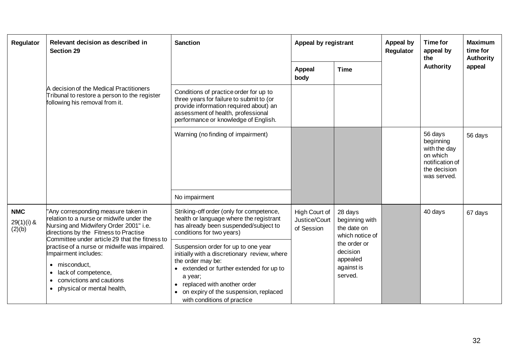| Regulator                            | Relevant decision as described in<br><b>Section 29</b>                                                                                                                                                                                                                                                                                                                                       | <b>Sanction</b>                                                                                                                                                                                                                                                                                                                                                                                                                     | Appeal by registrant                         |                                                                                                                              | <b>Appeal by</b><br>Regulator | <b>Time for</b><br>appeal by<br>the                                                                | <b>Maximum</b><br>time for<br><b>Authority</b> |
|--------------------------------------|----------------------------------------------------------------------------------------------------------------------------------------------------------------------------------------------------------------------------------------------------------------------------------------------------------------------------------------------------------------------------------------------|-------------------------------------------------------------------------------------------------------------------------------------------------------------------------------------------------------------------------------------------------------------------------------------------------------------------------------------------------------------------------------------------------------------------------------------|----------------------------------------------|------------------------------------------------------------------------------------------------------------------------------|-------------------------------|----------------------------------------------------------------------------------------------------|------------------------------------------------|
|                                      |                                                                                                                                                                                                                                                                                                                                                                                              |                                                                                                                                                                                                                                                                                                                                                                                                                                     | <b>Appeal</b><br>body                        | <b>Time</b>                                                                                                                  |                               | Authority                                                                                          | appeal                                         |
|                                      | A decision of the Medical Practitioners<br>Tribunal to restore a person to the register<br>following his removal from it.                                                                                                                                                                                                                                                                    | Conditions of practice order for up to<br>three years for failure to submit to (or<br>provide information required about) an<br>assessment of health, professional<br>performance or knowledge of English.                                                                                                                                                                                                                          |                                              |                                                                                                                              |                               |                                                                                                    |                                                |
|                                      |                                                                                                                                                                                                                                                                                                                                                                                              | Warning (no finding of impairment)                                                                                                                                                                                                                                                                                                                                                                                                  |                                              |                                                                                                                              |                               | 56 days<br>beginning<br>with the day<br>on which<br>notification of<br>the decision<br>was served. | 56 days                                        |
|                                      |                                                                                                                                                                                                                                                                                                                                                                                              | No impairment                                                                                                                                                                                                                                                                                                                                                                                                                       |                                              |                                                                                                                              |                               |                                                                                                    |                                                |
| <b>NMC</b><br>$29(1)(i)$ &<br>(2)(b) | 'Any corresponding measure taken in<br>relation to a nurse or midwife under the<br>Nursing and Midwifery Order 2001" i.e.<br>directions by the Fitness to Practise<br>Committee under article 29 that the fitness to<br>practise of a nurse or midwife was impaired.<br>Impairment includes:<br>misconduct,<br>lack of competence,<br>convictions and cautions<br>physical or mental health, | Striking-off order (only for competence,<br>health or language where the registrant<br>has already been suspended/subject to<br>conditions for two years)<br>Suspension order for up to one year<br>initially with a discretionary review, where<br>the order may be:<br>• extended or further extended for up to<br>a year;<br>replaced with another order<br>on expiry of the suspension, replaced<br>with conditions of practice | High Court of<br>Justice/Court<br>of Session | 28 days<br>beginning with<br>the date on<br>which notice of<br>the order or<br>decision<br>appealed<br>against is<br>served. |                               | 40 days                                                                                            | 67 days                                        |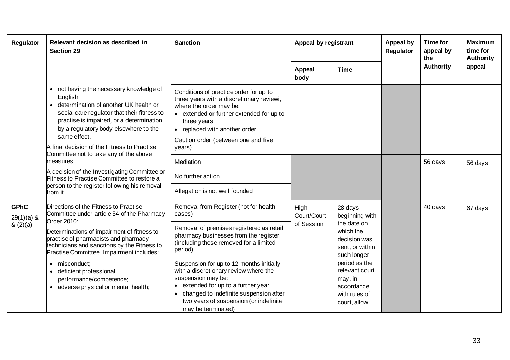| Regulator                   | Relevant decision as described in<br><b>Section 29</b>                                                                                                                                                                                                                                                                                                                                                                                              | <b>Sanction</b>                                                                                                                                                                                                                                          |                       |                                                                                            | Appeal by<br>Appeal by registrant<br>Regulator |                  | Time for<br>appeal by<br>the | <b>Maximum</b><br>time for<br><b>Authority</b> |
|-----------------------------|-----------------------------------------------------------------------------------------------------------------------------------------------------------------------------------------------------------------------------------------------------------------------------------------------------------------------------------------------------------------------------------------------------------------------------------------------------|----------------------------------------------------------------------------------------------------------------------------------------------------------------------------------------------------------------------------------------------------------|-----------------------|--------------------------------------------------------------------------------------------|------------------------------------------------|------------------|------------------------------|------------------------------------------------|
|                             |                                                                                                                                                                                                                                                                                                                                                                                                                                                     |                                                                                                                                                                                                                                                          | <b>Appeal</b><br>body | <b>Time</b>                                                                                |                                                | <b>Authority</b> | appeal                       |                                                |
|                             | • not having the necessary knowledge of<br>English<br>determination of another UK health or<br>social care regulator that their fitness to<br>practise is impaired, or a determination<br>by a regulatory body elsewhere to the<br>same effect.<br>A final decision of the Fitness to Practise<br>Committee not to take any of the above<br>measures.<br>A decision of the Investigating Committee or<br>Fitness to Practise Committee to restore a | Conditions of practice order for up to<br>three years with a discretionary reviewi,<br>where the order may be:<br>• extended or further extended for up to<br>three years<br>• replaced with another order                                               |                       |                                                                                            |                                                |                  |                              |                                                |
|                             |                                                                                                                                                                                                                                                                                                                                                                                                                                                     | Caution order (between one and five<br>years)                                                                                                                                                                                                            |                       |                                                                                            |                                                |                  |                              |                                                |
|                             |                                                                                                                                                                                                                                                                                                                                                                                                                                                     | Mediation                                                                                                                                                                                                                                                |                       |                                                                                            |                                                | 56 days          | 56 days                      |                                                |
|                             |                                                                                                                                                                                                                                                                                                                                                                                                                                                     | No further action                                                                                                                                                                                                                                        |                       |                                                                                            |                                                |                  |                              |                                                |
|                             | person to the register following his removal<br>from it.                                                                                                                                                                                                                                                                                                                                                                                            | Allegation is not well founded                                                                                                                                                                                                                           |                       |                                                                                            |                                                |                  |                              |                                                |
| <b>GPhC</b><br>$29(1)(a)$ & | Directions of the Fitness to Practise<br>Committee under article 54 of the Pharmacy<br>Order 2010:<br>Determinations of impairment of fitness to<br>practise of pharmacists and pharmacy<br>technicians and sanctions by the Fitness to<br>Practise Committee. Impairment includes:                                                                                                                                                                 | Removal from Register (not for health<br>cases)                                                                                                                                                                                                          | High<br>Court/Court   | 28 days<br>beginning with                                                                  |                                                | 40 days          | 67 days                      |                                                |
| (2)(a)                      |                                                                                                                                                                                                                                                                                                                                                                                                                                                     | Removal of premises registered as retail<br>pharmacy businesses from the register<br>(including those removed for a limited<br>period)                                                                                                                   | of Session            | the date on<br>which the<br>decision was<br>sent, or within<br>such longer                 |                                                |                  |                              |                                                |
|                             | · misconduct;<br>deficient professional<br>performance/competence;<br>• adverse physical or mental health;                                                                                                                                                                                                                                                                                                                                          | Suspension for up to 12 months initially<br>with a discretionary review where the<br>suspension may be:<br>• extended for up to a further year<br>changed to indefinite suspension after<br>two years of suspension (or indefinite<br>may be terminated) |                       | period as the<br>relevant court<br>may, in<br>accordance<br>with rules of<br>court, allow. |                                                |                  |                              |                                                |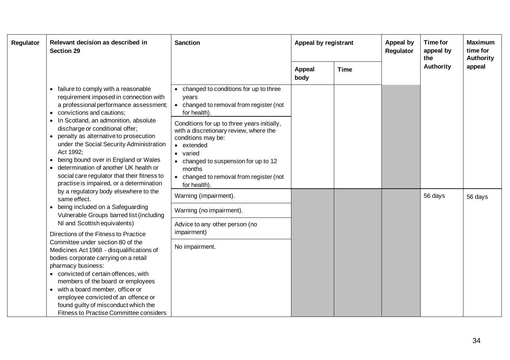| Regulator | Relevant decision as described in<br><b>Section 29</b>                                                                                                                                                                                                                                                                                                                                                                                                                                                        | <b>Sanction</b>                                                                                                                                                                                                                              | Appeal by registrant  |             | Appeal by<br>Regulator | Time for<br>appeal by<br>the | <b>Maximum</b><br>time for<br><b>Authority</b> |
|-----------|---------------------------------------------------------------------------------------------------------------------------------------------------------------------------------------------------------------------------------------------------------------------------------------------------------------------------------------------------------------------------------------------------------------------------------------------------------------------------------------------------------------|----------------------------------------------------------------------------------------------------------------------------------------------------------------------------------------------------------------------------------------------|-----------------------|-------------|------------------------|------------------------------|------------------------------------------------|
|           |                                                                                                                                                                                                                                                                                                                                                                                                                                                                                                               |                                                                                                                                                                                                                                              | <b>Appeal</b><br>body | <b>Time</b> |                        | <b>Authority</b>             | appeal                                         |
|           | failure to comply with a reasonable<br>requirement imposed in connection with<br>a professional performance assessment;<br>convictions and cautions;<br>In Scotland, an admonition, absolute<br>discharge or conditional offer;<br>penalty as alternative to prosecution<br>under the Social Security Administration<br>Act 1992;<br>being bound over in England or Wales<br>determination of another UK health or<br>social care regulator that their fitness to<br>practise is impaired, or a determination | changed to conditions for up to three<br>years<br>changed to removal from register (not<br>for health).                                                                                                                                      |                       |             |                        |                              |                                                |
|           |                                                                                                                                                                                                                                                                                                                                                                                                                                                                                                               | Conditions for up to three years initially,<br>with a discretionary review, where the<br>conditions may be:<br>• extended<br>varied<br>changed to suspension for up to 12<br>months<br>changed to removal from register (not<br>for health). |                       |             |                        |                              |                                                |
|           | by a regulatory body elsewhere to the<br>same effect.                                                                                                                                                                                                                                                                                                                                                                                                                                                         | Warning (impairment).                                                                                                                                                                                                                        |                       |             |                        | 56 days                      | 56 days                                        |
|           | being included on a Safeguarding<br>Vulnerable Groups barred list (including                                                                                                                                                                                                                                                                                                                                                                                                                                  | Warning (no impairment).                                                                                                                                                                                                                     |                       |             |                        |                              |                                                |
|           | NI and Scottish equivalents)<br>Directions of the Fitness to Practice                                                                                                                                                                                                                                                                                                                                                                                                                                         | Advice to any other person (no<br>impairment)                                                                                                                                                                                                |                       |             |                        |                              |                                                |
|           | Committee under section 80 of the<br>Medicines Act 1968 - disqualifications of<br>bodies corporate carrying on a retail                                                                                                                                                                                                                                                                                                                                                                                       | No impairment.                                                                                                                                                                                                                               |                       |             |                        |                              |                                                |
|           | pharmacy business:<br>• convicted of certain offences, with<br>members of the board or employees<br>• with a board member, officer or                                                                                                                                                                                                                                                                                                                                                                         |                                                                                                                                                                                                                                              |                       |             |                        |                              |                                                |
|           | employee convicted of an offence or<br>found guilty of misconduct which the<br><b>Fitness to Practise Committee considers</b>                                                                                                                                                                                                                                                                                                                                                                                 |                                                                                                                                                                                                                                              |                       |             |                        |                              |                                                |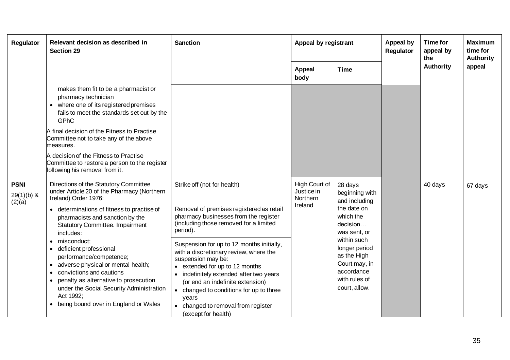| <b>Regulator</b>                      | Relevant decision as described in<br><b>Section 29</b>                                                                                                                                                                                                                                                                                                                                      | <b>Sanction</b>                                                                                                                                                                                                                                                                                                                       | Appeal by registrant                               |                                                                                                              | Appeal by<br><b>Regulator</b> | <b>Time for</b><br>appeal by<br>the | <b>Maximum</b><br>time for<br><b>Authority</b> |
|---------------------------------------|---------------------------------------------------------------------------------------------------------------------------------------------------------------------------------------------------------------------------------------------------------------------------------------------------------------------------------------------------------------------------------------------|---------------------------------------------------------------------------------------------------------------------------------------------------------------------------------------------------------------------------------------------------------------------------------------------------------------------------------------|----------------------------------------------------|--------------------------------------------------------------------------------------------------------------|-------------------------------|-------------------------------------|------------------------------------------------|
|                                       |                                                                                                                                                                                                                                                                                                                                                                                             |                                                                                                                                                                                                                                                                                                                                       | <b>Appeal</b><br>body                              | <b>Time</b>                                                                                                  |                               | <b>Authority</b>                    | appeal                                         |
|                                       | makes them fit to be a pharmacist or<br>pharmacy technician<br>where one of its registered premises<br>fails to meet the standards set out by the<br>GPhC<br>A final decision of the Fitness to Practise<br>Committee not to take any of the above<br>measures.<br>A decision of the Fitness to Practise<br>Committee to restore a person to the register<br>following his removal from it. |                                                                                                                                                                                                                                                                                                                                       |                                                    |                                                                                                              |                               |                                     |                                                |
| <b>PSNI</b><br>$29(1)(b)$ &<br>(2)(a) | Directions of the Statutory Committee<br>under Article 20 of the Pharmacy (Northern<br>Ireland) Order 1976:                                                                                                                                                                                                                                                                                 | Strike off (not for health)                                                                                                                                                                                                                                                                                                           | High Court of<br>Justice in<br>Northern<br>Ireland | 28 days<br>beginning with<br>and including                                                                   |                               | 40 days                             | 67 days                                        |
|                                       | determinations of fitness to practise of<br>pharmacists and sanction by the<br><b>Statutory Committee. Impairment</b><br>includes:                                                                                                                                                                                                                                                          | Removal of premises registered as retail<br>pharmacy businesses from the register<br>(including those removed for a limited<br>period).                                                                                                                                                                                               |                                                    | the date on<br>which the<br>decision<br>was sent, or                                                         |                               |                                     |                                                |
|                                       | misconduct:<br>$\bullet$<br>deficient professional<br>performance/competence;<br>adverse physical or mental health;<br>convictions and cautions<br>penalty as alternative to prosecution<br>under the Social Security Administration<br>Act 1992;<br>being bound over in England or Wales                                                                                                   | Suspension for up to 12 months initially,<br>with a discretionary review, where the<br>suspension may be:<br>• extended for up to 12 months<br>indefinitely extended after two years<br>(or end an indefinite extension)<br>changed to conditions for up to three<br>years<br>changed to removal from register<br>(except for health) |                                                    | within such<br>longer period<br>as the High<br>Court may, in<br>accordance<br>with rules of<br>court, allow. |                               |                                     |                                                |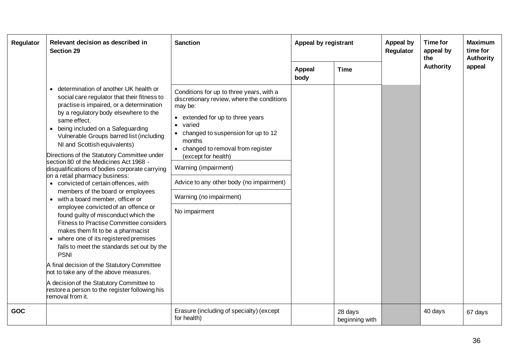| Regulator  | Relevant decision as described in<br><b>Section 29</b>                                                                                                                                                                                                                                                                                                                                                                                                                                                                                                                                                                                                                                                | <b>Sanction</b>                                                                                                                                                                                                                                                                                                                                                                                        | Appeal by registrant  |                           | <b>Appeal by</b><br>Regulator | Time for<br>appeal by<br>the | <b>Maximum</b><br>time for<br>Authority |
|------------|-------------------------------------------------------------------------------------------------------------------------------------------------------------------------------------------------------------------------------------------------------------------------------------------------------------------------------------------------------------------------------------------------------------------------------------------------------------------------------------------------------------------------------------------------------------------------------------------------------------------------------------------------------------------------------------------------------|--------------------------------------------------------------------------------------------------------------------------------------------------------------------------------------------------------------------------------------------------------------------------------------------------------------------------------------------------------------------------------------------------------|-----------------------|---------------------------|-------------------------------|------------------------------|-----------------------------------------|
|            | determination of another UK health or<br>$\bullet$<br>social care regulator that their fitness to<br>practise is impaired, or a determination<br>by a regulatory body elsewhere to the<br>same effect.<br>being included on a Safeguarding<br>Vulnerable Groups barred list (including<br>NI and Scottish equivalents)<br>Directions of the Statutory Committee under<br>section 80 of the Medicines Act 1968 -<br>disqualifications of bodies corporate carrying<br>on a retail pharmacy business:<br>• convicted of certain offences, with<br>members of the board or employees<br>• with a board member, officer or<br>employee convicted of an offence or<br>found guilty of misconduct which the | Conditions for up to three years, with a<br>discretionary review, where the conditions<br>may be:<br>• extended for up to three years<br>varied<br>$\bullet$<br>changed to suspension for up to 12<br>$\bullet$<br>months<br>• changed to removal from register<br>(except for health)<br>Warning (impairment)<br>Advice to any other body (no impairment)<br>Warning (no impairment)<br>No impairment | <b>Appeal</b><br>body | <b>Time</b>               |                               | Authority                    | appeal                                  |
|            | Fitness to Practise Committee considers<br>makes them fit to be a pharmacist<br>• where one of its registered premises<br>fails to meet the standards set out by the<br><b>PSNI</b><br>A final decision of the Statutory Committee<br>not to take any of the above measures.<br>A decision of the Statutory Committee to<br>restore a person to the register following his<br>removal from it.                                                                                                                                                                                                                                                                                                        |                                                                                                                                                                                                                                                                                                                                                                                                        |                       |                           |                               |                              |                                         |
| <b>GOC</b> |                                                                                                                                                                                                                                                                                                                                                                                                                                                                                                                                                                                                                                                                                                       | Erasure (including of specialty) (except<br>for health)                                                                                                                                                                                                                                                                                                                                                |                       | 28 days<br>beginning with |                               | 40 days                      | 67 days                                 |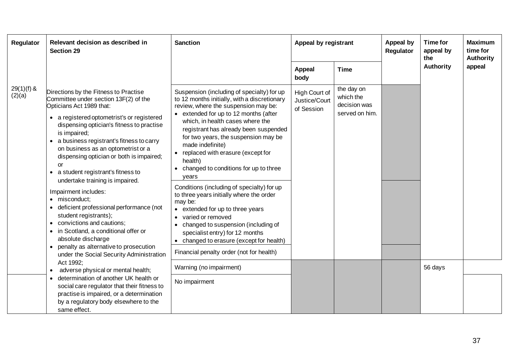| Regulator              | Relevant decision as described in<br><b>Section 29</b>                                                                                                                                                                                                                                                                                                                                                                                                                                                                                                                                                                                                                                                                                         | <b>Sanction</b>                                                                                                                                                                                                                                                                                                                                                                                                                                                                                                                                                                                                                                                                                                                                      | Appeal by registrant                         |                                                           | Appeal by<br>Regulator | Time for<br>appeal by<br>the | <b>Maximum</b><br>time for<br><b>Authority</b> |
|------------------------|------------------------------------------------------------------------------------------------------------------------------------------------------------------------------------------------------------------------------------------------------------------------------------------------------------------------------------------------------------------------------------------------------------------------------------------------------------------------------------------------------------------------------------------------------------------------------------------------------------------------------------------------------------------------------------------------------------------------------------------------|------------------------------------------------------------------------------------------------------------------------------------------------------------------------------------------------------------------------------------------------------------------------------------------------------------------------------------------------------------------------------------------------------------------------------------------------------------------------------------------------------------------------------------------------------------------------------------------------------------------------------------------------------------------------------------------------------------------------------------------------------|----------------------------------------------|-----------------------------------------------------------|------------------------|------------------------------|------------------------------------------------|
|                        |                                                                                                                                                                                                                                                                                                                                                                                                                                                                                                                                                                                                                                                                                                                                                |                                                                                                                                                                                                                                                                                                                                                                                                                                                                                                                                                                                                                                                                                                                                                      | <b>Appeal</b><br>body                        | <b>Time</b>                                               |                        | <b>Authority</b>             | appeal                                         |
| $29(1)(f)$ &<br>(2)(a) | Directions by the Fitness to Practise<br>Committee under section 13F(2) of the<br>Opticians Act 1989 that:<br>• a registered optometrist's or registered<br>dispensing optician's fitness to practise<br>is impaired;<br>• a business registrant's fitness to carry<br>on business as an optometrist or a<br>dispensing optician or both is impaired;<br>or<br>a student registrant's fitness to<br>$\bullet$<br>undertake training is impaired.<br>Impairment includes:<br>· misconduct:<br>deficient professional performance (not<br>student registrants);<br>convictions and cautions;<br>• in Scotland, a conditional offer or<br>absolute discharge<br>penalty as alternative to prosecution<br>under the Social Security Administration | Suspension (including of specialty) for up<br>to 12 months initially, with a discretionary<br>review, where the suspension may be:<br>• extended for up to 12 months (after<br>which, in health cases where the<br>registrant has already been suspended<br>for two years, the suspension may be<br>made indefinite)<br>replaced with erasure (except for<br>health)<br>changed to conditions for up to three<br>years<br>Conditions (including of specialty) for up<br>to three years initially where the order<br>may be:<br>extended for up to three years<br>varied or removed<br>changed to suspension (including of<br>specialist entry) for 12 months<br>• changed to erasure (except for health)<br>Financial penalty order (not for health) | High Court of<br>Justice/Court<br>of Session | the day on<br>which the<br>decision was<br>served on him. |                        |                              |                                                |
|                        | Act 1992;<br>adverse physical or mental health;                                                                                                                                                                                                                                                                                                                                                                                                                                                                                                                                                                                                                                                                                                | Warning (no impairment)                                                                                                                                                                                                                                                                                                                                                                                                                                                                                                                                                                                                                                                                                                                              |                                              |                                                           |                        | 56 days                      |                                                |
|                        | determination of another UK health or<br>social care regulator that their fitness to<br>practise is impaired, or a determination<br>by a regulatory body elsewhere to the<br>same effect.                                                                                                                                                                                                                                                                                                                                                                                                                                                                                                                                                      | No impairment                                                                                                                                                                                                                                                                                                                                                                                                                                                                                                                                                                                                                                                                                                                                        |                                              |                                                           |                        |                              |                                                |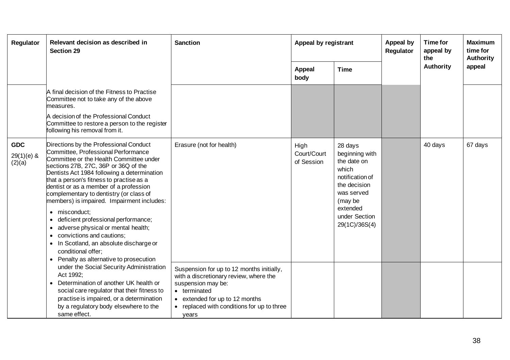| Regulator                            | Relevant decision as described in<br><b>Section 29</b>                                                                                                                                                                                                                                                                                                                                                                                                                                                                                                                                                                                  | <b>Sanction</b>                                                                                                                                                                                                    | Appeal by registrant              |                                                                                                                                                             | Appeal by<br>Regulator | <b>Time for</b><br>appeal by<br>the | <b>Maximum</b><br>time for<br><b>Authority</b> |
|--------------------------------------|-----------------------------------------------------------------------------------------------------------------------------------------------------------------------------------------------------------------------------------------------------------------------------------------------------------------------------------------------------------------------------------------------------------------------------------------------------------------------------------------------------------------------------------------------------------------------------------------------------------------------------------------|--------------------------------------------------------------------------------------------------------------------------------------------------------------------------------------------------------------------|-----------------------------------|-------------------------------------------------------------------------------------------------------------------------------------------------------------|------------------------|-------------------------------------|------------------------------------------------|
|                                      |                                                                                                                                                                                                                                                                                                                                                                                                                                                                                                                                                                                                                                         |                                                                                                                                                                                                                    | <b>Appeal</b><br>body             | <b>Time</b>                                                                                                                                                 |                        | <b>Authority</b>                    | appeal                                         |
|                                      | A final decision of the Fitness to Practise<br>Committee not to take any of the above<br>measures.<br>A decision of the Professional Conduct                                                                                                                                                                                                                                                                                                                                                                                                                                                                                            |                                                                                                                                                                                                                    |                                   |                                                                                                                                                             |                        |                                     |                                                |
|                                      | Committee to restore a person to the register<br>following his removal from it.                                                                                                                                                                                                                                                                                                                                                                                                                                                                                                                                                         |                                                                                                                                                                                                                    |                                   |                                                                                                                                                             |                        |                                     |                                                |
| <b>GDC</b><br>$29(1)(e)$ &<br>(2)(a) | Directions by the Professional Conduct<br>Committee, Professional Performance<br>Committee or the Health Committee under<br>sections 27B, 27C, 36P or 36Q of the<br>Dentists Act 1984 following a determination<br>that a person's fitness to practise as a<br>dentist or as a member of a profession<br>complementary to dentistry (or class of<br>members) is impaired. Impairment includes:<br>misconduct;<br>$\bullet$<br>deficient professional performance;<br>$\bullet$<br>adverse physical or mental health;<br>٠<br>convictions and cautions;<br>$\bullet$<br>In Scotland, an absolute discharge or<br>٠<br>conditional offer; | Erasure (not for health)                                                                                                                                                                                           | High<br>Court/Court<br>of Session | 28 days<br>beginning with<br>the date on<br>which<br>notification of<br>the decision<br>was served<br>(may be<br>extended<br>under Section<br>29(1C)/36S(4) |                        | 40 days                             | 67 days                                        |
|                                      | • Penalty as alternative to prosecution<br>under the Social Security Administration<br>Act 1992;<br>Determination of another UK health or<br>$\bullet$<br>social care regulator that their fitness to<br>practise is impaired, or a determination<br>by a regulatory body elsewhere to the<br>same effect.                                                                                                                                                                                                                                                                                                                              | Suspension for up to 12 months initially,<br>with a discretionary review, where the<br>suspension may be:<br>• terminated<br>• extended for up to 12 months<br>• replaced with conditions for up to three<br>years |                                   |                                                                                                                                                             |                        |                                     |                                                |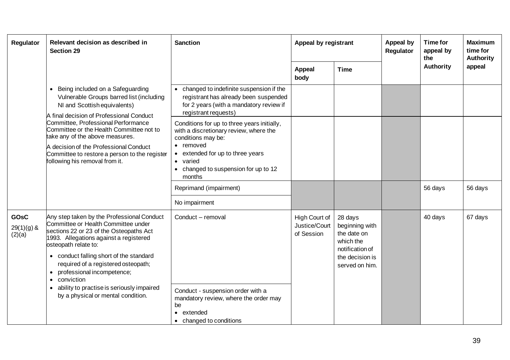| Regulator                             | Relevant decision as described in<br><b>Section 29</b>                                                                                                                                                                                                                                                                                                                                                        | <b>Sanction</b>                                                                                                                                                                                                                   | Appeal by registrant                         |                                                                                                               | <b>Appeal by</b><br>Regulator | Time for<br>appeal by<br>the | <b>Maximum</b><br>time for<br>Authority |
|---------------------------------------|---------------------------------------------------------------------------------------------------------------------------------------------------------------------------------------------------------------------------------------------------------------------------------------------------------------------------------------------------------------------------------------------------------------|-----------------------------------------------------------------------------------------------------------------------------------------------------------------------------------------------------------------------------------|----------------------------------------------|---------------------------------------------------------------------------------------------------------------|-------------------------------|------------------------------|-----------------------------------------|
|                                       |                                                                                                                                                                                                                                                                                                                                                                                                               |                                                                                                                                                                                                                                   | <b>Appeal</b><br>body                        | <b>Time</b>                                                                                                   |                               | <b>Authority</b>             | appeal                                  |
|                                       | • Being included on a Safeguarding<br>Vulnerable Groups barred list (including<br>NI and Scottish equivalents)<br>A final decision of Professional Conduct<br>Committee, Professional Performance<br>Committee or the Health Committee not to<br>take any of the above measures.<br>A decision of the Professional Conduct<br>Committee to restore a person to the register<br>following his removal from it. | • changed to indefinite suspension if the<br>registrant has already been suspended<br>for 2 years (with a mandatory review if<br>registrant requests)                                                                             |                                              |                                                                                                               |                               |                              |                                         |
|                                       |                                                                                                                                                                                                                                                                                                                                                                                                               | Conditions for up to three years initially,<br>with a discretionary review, where the<br>conditions may be:<br>• removed<br>extended for up to three years<br>varied<br>$\bullet$<br>changed to suspension for up to 12<br>months |                                              |                                                                                                               |                               |                              |                                         |
|                                       |                                                                                                                                                                                                                                                                                                                                                                                                               | Reprimand (impairment)                                                                                                                                                                                                            |                                              |                                                                                                               |                               | 56 days                      | 56 days                                 |
|                                       |                                                                                                                                                                                                                                                                                                                                                                                                               | No impairment                                                                                                                                                                                                                     |                                              |                                                                                                               |                               |                              |                                         |
| <b>GOsC</b><br>$29(1)(g)$ &<br>(2)(a) | Any step taken by the Professional Conduct<br>Committee or Health Committee under<br>sections 22 or 23 of the Osteopaths Act<br>1993. Allegations against a registered<br>osteopath relate to:<br>• conduct falling short of the standard<br>required of a registered osteopath;<br>professional incompetence;<br>conviction                                                                                  | Conduct - removal                                                                                                                                                                                                                 | High Court of<br>Justice/Court<br>of Session | 28 days<br>beginning with<br>the date on<br>which the<br>notification of<br>the decision is<br>served on him. |                               | 40 days                      | 67 days                                 |
|                                       | ability to practise is seriously impaired<br>by a physical or mental condition.                                                                                                                                                                                                                                                                                                                               | Conduct - suspension order with a<br>mandatory review, where the order may<br>be<br>extended<br>$\bullet$<br>• changed to conditions                                                                                              |                                              |                                                                                                               |                               |                              |                                         |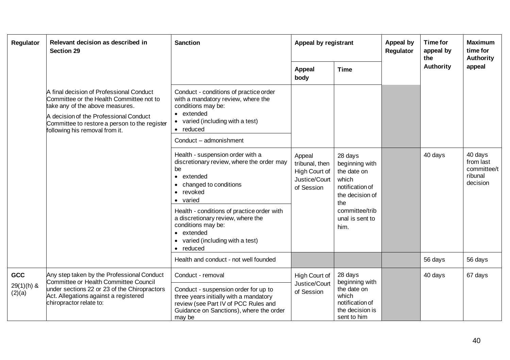| Regulator              | Relevant decision as described in<br><b>Section 29</b>                                                                                                                                                                                               | <b>Sanction</b>                                                                                                                                                             | Appeal by registrant                                                     |                                                                                                                                             | <b>Appeal by</b><br>Regulator | <b>Time for</b><br>appeal by<br>the | <b>Maximum</b><br>time for<br>Authority                    |
|------------------------|------------------------------------------------------------------------------------------------------------------------------------------------------------------------------------------------------------------------------------------------------|-----------------------------------------------------------------------------------------------------------------------------------------------------------------------------|--------------------------------------------------------------------------|---------------------------------------------------------------------------------------------------------------------------------------------|-------------------------------|-------------------------------------|------------------------------------------------------------|
|                        |                                                                                                                                                                                                                                                      |                                                                                                                                                                             | <b>Appeal</b><br>body                                                    | <b>Time</b>                                                                                                                                 |                               | <b>Authority</b>                    | appeal                                                     |
|                        | A final decision of Professional Conduct<br>Committee or the Health Committee not to<br>take any of the above measures.<br>A decision of the Professional Conduct<br>Committee to restore a person to the register<br>following his removal from it. | Conduct - conditions of practice order<br>with a mandatory review, where the<br>conditions may be:<br>extended<br>varied (including with a test)<br>reduced                 |                                                                          |                                                                                                                                             |                               |                                     |                                                            |
|                        |                                                                                                                                                                                                                                                      | Conduct - admonishment                                                                                                                                                      |                                                                          |                                                                                                                                             |                               |                                     |                                                            |
|                        |                                                                                                                                                                                                                                                      | Health - suspension order with a<br>discretionary review, where the order may<br>be<br>• extended<br>changed to conditions<br>revoked<br>• varied                           | Appeal<br>tribunal, then<br>High Court of<br>Justice/Court<br>of Session | 28 days<br>beginning with<br>the date on<br>which<br>notification of<br>the decision of<br>the<br>committee/trib<br>unal is sent to<br>him. |                               | 40 days                             | 40 days<br>from last<br>committee/t<br>ribunal<br>decision |
|                        |                                                                                                                                                                                                                                                      | Health - conditions of practice order with<br>a discretionary review, where the<br>conditions may be:<br>• extended<br>varied (including with a test)<br>reduced            |                                                                          |                                                                                                                                             |                               |                                     |                                                            |
|                        |                                                                                                                                                                                                                                                      | Health and conduct - not well founded                                                                                                                                       |                                                                          |                                                                                                                                             |                               | 56 days                             | 56 days                                                    |
| GCC                    | Any step taken by the Professional Conduct<br>Committee or Health Committee Council                                                                                                                                                                  | Conduct - removal                                                                                                                                                           | High Court of                                                            | 28 days                                                                                                                                     |                               | 40 days                             | 67 days                                                    |
| $29(1)(h)$ &<br>(2)(a) | under sections 22 or 23 of the Chiropractors<br>Act. Allegations against a registered<br>chiropractor relate to:                                                                                                                                     | Conduct - suspension order for up to<br>three years initially with a mandatory<br>review (see Part IV of PCC Rules and<br>Guidance on Sanctions), where the order<br>may be | Justice/Court<br>of Session                                              | beginning with<br>the date on<br>which<br>notification of<br>the decision is<br>sent to him                                                 |                               |                                     |                                                            |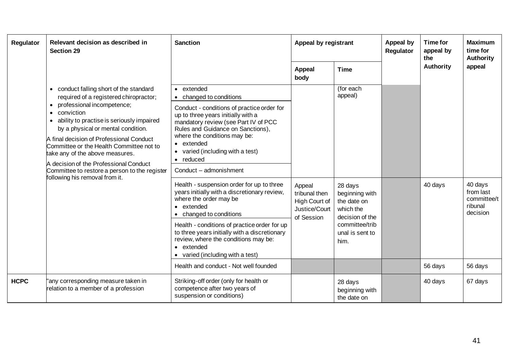| Regulator   | Relevant decision as described in<br><b>Section 29</b>                                                                                                                                                                                                                                                                                                                                                                                                                                           | <b>Sanction</b>                                                                                                                                                                                                                                                                 | Appeal by registrant                                                    |                                                                          | Appeal by<br>Regulator | <b>Time for</b><br>appeal by<br>the | <b>Maximum</b><br>time for<br><b>Authority</b>             |
|-------------|--------------------------------------------------------------------------------------------------------------------------------------------------------------------------------------------------------------------------------------------------------------------------------------------------------------------------------------------------------------------------------------------------------------------------------------------------------------------------------------------------|---------------------------------------------------------------------------------------------------------------------------------------------------------------------------------------------------------------------------------------------------------------------------------|-------------------------------------------------------------------------|--------------------------------------------------------------------------|------------------------|-------------------------------------|------------------------------------------------------------|
|             |                                                                                                                                                                                                                                                                                                                                                                                                                                                                                                  |                                                                                                                                                                                                                                                                                 | <b>Appeal</b><br>body                                                   | <b>Time</b>                                                              |                        | <b>Authority</b>                    | appeal                                                     |
|             | conduct falling short of the standard<br>$\bullet$<br>required of a registered chiropractor;<br>professional incompetence;<br>conviction<br>ability to practise is seriously impaired<br>$\bullet$<br>by a physical or mental condition.<br>A final decision of Professional Conduct<br>Committee or the Health Committee not to<br>take any of the above measures.<br>A decision of the Professional Conduct<br>Committee to restore a person to the register<br>following his removal from it. | • extended<br>changed to conditions<br>$\bullet$                                                                                                                                                                                                                                |                                                                         | (for each<br>appeal)                                                     |                        |                                     |                                                            |
|             |                                                                                                                                                                                                                                                                                                                                                                                                                                                                                                  | Conduct - conditions of practice order for<br>up to three years initially with a<br>mandatory review (see Part IV of PCC<br>Rules and Guidance on Sanctions),<br>where the conditions may be:<br>• extended<br>varied (including with a test)<br>$\bullet$<br>$\bullet$ reduced |                                                                         |                                                                          |                        |                                     |                                                            |
|             |                                                                                                                                                                                                                                                                                                                                                                                                                                                                                                  | Conduct - admonishment                                                                                                                                                                                                                                                          |                                                                         |                                                                          |                        |                                     |                                                            |
|             |                                                                                                                                                                                                                                                                                                                                                                                                                                                                                                  | Health - suspension order for up to three<br>years initially with a discretionary review,<br>where the order may be<br>extended<br>changed to conditions                                                                                                                        | Appeal<br>tribunal then<br>High Court of<br>Justice/Court<br>of Session | 28 days<br>beginning with<br>the date on<br>which the<br>decision of the |                        | 40 days                             | 40 days<br>from last<br>committee/t<br>ribunal<br>decision |
|             |                                                                                                                                                                                                                                                                                                                                                                                                                                                                                                  | Health - conditions of practice order for up<br>to three years initially with a discretionary<br>review, where the conditions may be:<br>• extended<br>varied (including with a test)                                                                                           |                                                                         | committee/trib<br>unal is sent to<br>him.                                |                        |                                     |                                                            |
|             |                                                                                                                                                                                                                                                                                                                                                                                                                                                                                                  | Health and conduct - Not well founded                                                                                                                                                                                                                                           |                                                                         |                                                                          |                        | 56 days                             | 56 days                                                    |
| <b>HCPC</b> | "any corresponding measure taken in<br>relation to a member of a profession                                                                                                                                                                                                                                                                                                                                                                                                                      | Striking-off order (only for health or<br>competence after two years of<br>suspension or conditions)                                                                                                                                                                            |                                                                         | 28 days<br>beginning with<br>the date on                                 |                        | 40 days                             | 67 days                                                    |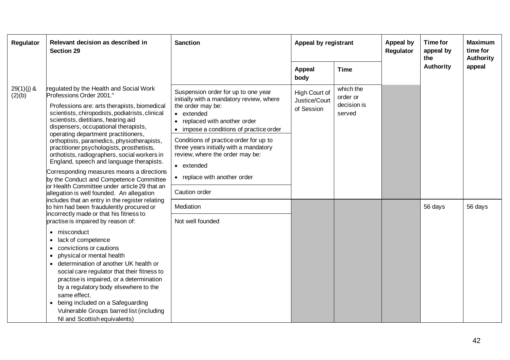| Regulator              | Relevant decision as described in<br><b>Section 29</b>                                                                                                                                                                                                                                                                                                                                                                                                                                                                                                                                                                                                                                                                                                                                                                                                                                                                                                                                                                                                                                                                                                                                                                                                                                           | <b>Sanction</b><br><b>Appeal</b><br>body                                                                                                                                                                                                                                                                                                                                                      | Appeal by registrant                         |                                                | <b>Appeal by</b><br>Regulator | Time for<br>appeal by<br>the | <b>Maximum</b><br>time for<br>Authority |
|------------------------|--------------------------------------------------------------------------------------------------------------------------------------------------------------------------------------------------------------------------------------------------------------------------------------------------------------------------------------------------------------------------------------------------------------------------------------------------------------------------------------------------------------------------------------------------------------------------------------------------------------------------------------------------------------------------------------------------------------------------------------------------------------------------------------------------------------------------------------------------------------------------------------------------------------------------------------------------------------------------------------------------------------------------------------------------------------------------------------------------------------------------------------------------------------------------------------------------------------------------------------------------------------------------------------------------|-----------------------------------------------------------------------------------------------------------------------------------------------------------------------------------------------------------------------------------------------------------------------------------------------------------------------------------------------------------------------------------------------|----------------------------------------------|------------------------------------------------|-------------------------------|------------------------------|-----------------------------------------|
|                        |                                                                                                                                                                                                                                                                                                                                                                                                                                                                                                                                                                                                                                                                                                                                                                                                                                                                                                                                                                                                                                                                                                                                                                                                                                                                                                  |                                                                                                                                                                                                                                                                                                                                                                                               |                                              | <b>Time</b>                                    |                               | Authority                    | appeal                                  |
| $29(1)(j)$ &<br>(2)(b) | regulated by the Health and Social Work<br>Professions Order 2001."<br>Professions are: arts therapists, biomedical<br>scientists, chiropodists, podiatrists, clinical<br>scientists, dietitians, hearing aid<br>dispensers, occupational therapists,<br>operating department practitioners,<br>orthoptists, paramedics, physiotherapists,<br>practitioner psychologists, prosthetists,<br>orthotists, radiographers, social workers in<br>England, speech and language therapists.<br>Corresponding measures means a directions<br>by the Conduct and Competence Committee<br>or Health Committee under article 29 that an<br>allegation is well founded. An allegation<br>includes that an entry in the register relating<br>to him had been fraudulently procured or<br>incorrectly made or that his fitness to<br>practise is impaired by reason of:<br>misconduct<br>$\bullet$<br>lack of competence<br>convictions or cautions<br>٠<br>physical or mental health<br>determination of another UK health or<br>$\bullet$<br>social care regulator that their fitness to<br>practise is impaired, or a determination<br>by a regulatory body elsewhere to the<br>same effect.<br>being included on a Safeguarding<br>Vulnerable Groups barred list (including<br>NI and Scottish equivalents) | Suspension order for up to one year<br>initially with a mandatory review, where<br>the order may be:<br>• extended<br>replaced with another order<br>impose a conditions of practice order<br>$\bullet$<br>Conditions of practice order for up to<br>three years initially with a mandatory<br>review, where the order may be:<br>• extended<br>• replace with another order<br>Caution order | High Court of<br>Justice/Court<br>of Session | which the<br>order or<br>decision is<br>served |                               |                              |                                         |
|                        |                                                                                                                                                                                                                                                                                                                                                                                                                                                                                                                                                                                                                                                                                                                                                                                                                                                                                                                                                                                                                                                                                                                                                                                                                                                                                                  | Mediation<br>Not well founded                                                                                                                                                                                                                                                                                                                                                                 |                                              |                                                |                               | 56 days                      | 56 days                                 |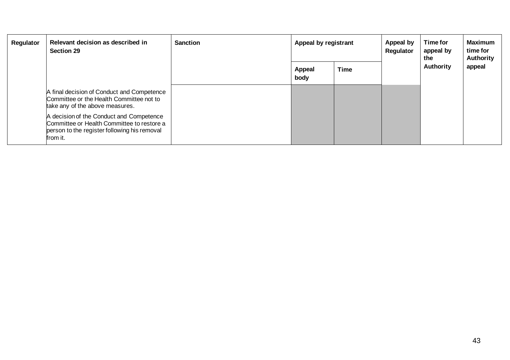| Regulator | Relevant decision as described in<br><b>Section 29</b>                                                                                             | <b>Sanction</b> | Appeal by registrant  |             | Appeal by<br>Regulator | Time for<br>appeal by<br>the | <b>Maximum</b><br>time for<br>Authority |
|-----------|----------------------------------------------------------------------------------------------------------------------------------------------------|-----------------|-----------------------|-------------|------------------------|------------------------------|-----------------------------------------|
|           |                                                                                                                                                    |                 | <b>Appeal</b><br>body | <b>Time</b> |                        | Authority                    | appeal                                  |
|           | A final decision of Conduct and Competence<br>Committee or the Health Committee not to<br>take any of the above measures.                          |                 |                       |             |                        |                              |                                         |
|           | A decision of the Conduct and Competence<br>Committee or Health Committee to restore a<br>person to the register following his removal<br>from it. |                 |                       |             |                        |                              |                                         |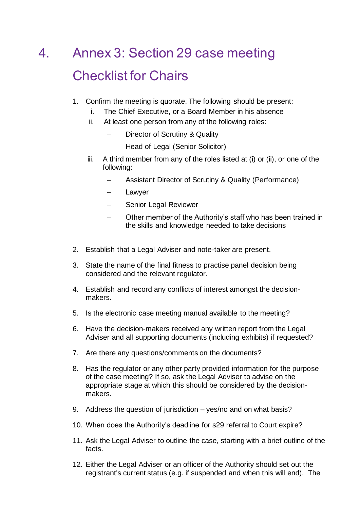# <span id="page-43-0"></span>4. Annex 3: Section 29 case meeting Checklist for Chairs

- 1. Confirm the meeting is quorate. The following should be present:
	- i. The Chief Executive, or a Board Member in his absence
	- ii. At least one person from any of the following roles:
		- Director of Scrutiny & Quality
		- − Head of Legal (Senior Solicitor)
	- iii. A third member from any of the roles listed at (i) or (ii), or one of the following:
		- − Assistant Director of Scrutiny & Quality (Performance)
		- **Lawyer**
		- − Senior Legal Reviewer
		- Other member of the Authority's staff who has been trained in the skills and knowledge needed to take decisions
- 2. Establish that a Legal Adviser and note-taker are present.
- 3. State the name of the final fitness to practise panel decision being considered and the relevant regulator.
- 4. Establish and record any conflicts of interest amongst the decisionmakers.
- 5. Is the electronic case meeting manual available to the meeting?
- 6. Have the decision-makers received any written report from the Legal Adviser and all supporting documents (including exhibits) if requested?
- 7. Are there any questions/comments on the documents?
- 8. Has the regulator or any other party provided information for the purpose of the case meeting? If so, ask the Legal Adviser to advise on the appropriate stage at which this should be considered by the decisionmakers.
- 9. Address the question of jurisdiction yes/no and on what basis?
- 10. When does the Authority's deadline for s29 referral to Court expire?
- 11. Ask the Legal Adviser to outline the case, starting with a brief outline of the facts.
- 12. Either the Legal Adviser or an officer of the Authority should set out the registrant's current status (e.g. if suspended and when this will end). The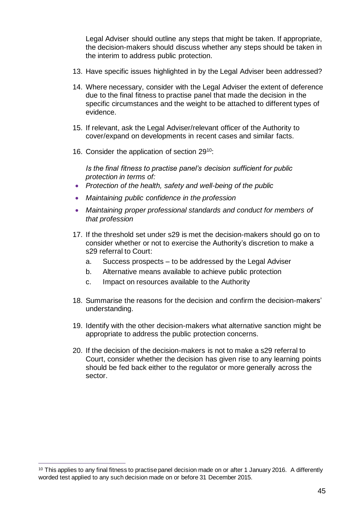Legal Adviser should outline any steps that might be taken. If appropriate, the decision-makers should discuss whether any steps should be taken in the interim to address public protection.

- 13. Have specific issues highlighted in by the Legal Adviser been addressed?
- 14. Where necessary, consider with the Legal Adviser the extent of deference due to the final fitness to practise panel that made the decision in the specific circumstances and the weight to be attached to different types of evidence.
- 15. If relevant, ask the Legal Adviser/relevant officer of the Authority to cover/expand on developments in recent cases and similar facts.
- 16. Consider the application of section 29<sup>10</sup>:

*Is the final fitness to practise panel's decision sufficient for public protection in terms of:*

- *Protection of the health, safety and well-being of the public*
- *Maintaining public confidence in the profession*
- *Maintaining proper professional standards and conduct for members of that profession*
- 17. If the threshold set under s29 is met the decision-makers should go on to consider whether or not to exercise the Authority's discretion to make a s29 referral to Court:
	- a. Success prospects to be addressed by the Legal Adviser
	- b. Alternative means available to achieve public protection
	- c. Impact on resources available to the Authority
- 18. Summarise the reasons for the decision and confirm the decision-makers' understanding.
- 19. Identify with the other decision-makers what alternative sanction might be appropriate to address the public protection concerns.
- 20. If the decision of the decision-makers is not to make a s29 referral to Court, consider whether the decision has given rise to any learning points should be fed back either to the regulator or more generally across the sector.

<sup>&</sup>lt;sup>10</sup> This applies to any final fitness to practise panel decision made on or after 1 January 2016. A differently worded test applied to any such decision made on or before 31 December 2015.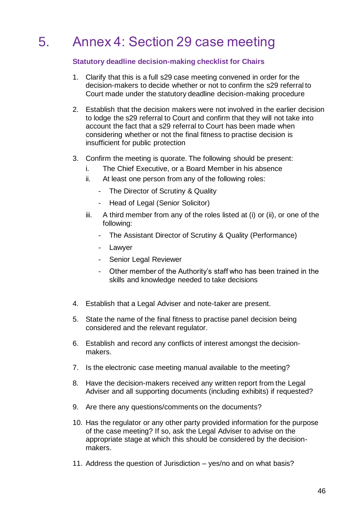# <span id="page-45-0"></span>5. Annex 4: Section 29 case meeting

## **Statutory deadline decision-making checklist for Chairs**

- 1. Clarify that this is a full s29 case meeting convened in order for the decision-makers to decide whether or not to confirm the s29 referral to Court made under the statutory deadline decision-making procedure
- 2. Establish that the decision makers were not involved in the earlier decision to lodge the s29 referral to Court and confirm that they will not take into account the fact that a s29 referral to Court has been made when considering whether or not the final fitness to practise decision is insufficient for public protection
- 3. Confirm the meeting is quorate. The following should be present:
	- i. The Chief Executive, or a Board Member in his absence
	- ii. At least one person from any of the following roles:
		- The Director of Scrutiny & Quality
		- Head of Legal (Senior Solicitor)
	- iii. A third member from any of the roles listed at (i) or (ii), or one of the following:
		- The Assistant Director of Scrutiny & Quality (Performance)
		- Lawyer
		- Senior Legal Reviewer
		- Other member of the Authority's staff who has been trained in the skills and knowledge needed to take decisions
- 4. Establish that a Legal Adviser and note-taker are present.
- 5. State the name of the final fitness to practise panel decision being considered and the relevant regulator.
- 6. Establish and record any conflicts of interest amongst the decisionmakers.
- 7. Is the electronic case meeting manual available to the meeting?
- 8. Have the decision-makers received any written report from the Legal Adviser and all supporting documents (including exhibits) if requested?
- 9. Are there any questions/comments on the documents?
- 10. Has the regulator or any other party provided information for the purpose of the case meeting? If so, ask the Legal Adviser to advise on the appropriate stage at which this should be considered by the decisionmakers.
- 11. Address the question of Jurisdiction yes/no and on what basis?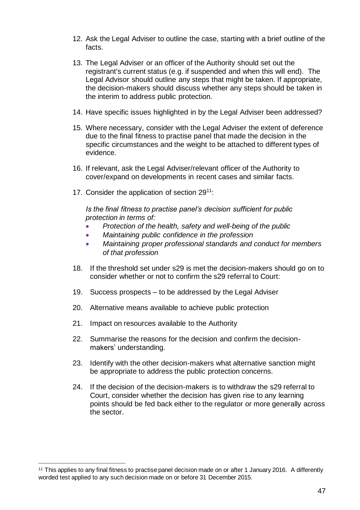- 12. Ask the Legal Adviser to outline the case, starting with a brief outline of the facts.
- 13. The Legal Adviser or an officer of the Authority should set out the registrant's current status (e.g. if suspended and when this will end). The Legal Advisor should outline any steps that might be taken. If appropriate, the decision-makers should discuss whether any steps should be taken in the interim to address public protection.
- 14. Have specific issues highlighted in by the Legal Adviser been addressed?
- 15. Where necessary, consider with the Legal Adviser the extent of deference due to the final fitness to practise panel that made the decision in the specific circumstances and the weight to be attached to different types of evidence.
- 16. If relevant, ask the Legal Adviser/relevant officer of the Authority to cover/expand on developments in recent cases and similar facts.
- 17. Consider the application of section 29<sup>11</sup>:

*Is the final fitness to practise panel's decision sufficient for public protection in terms of:*

- *Protection of the health, safety and well-being of the public*
- *Maintaining public confidence in the profession*
- *Maintaining proper professional standards and conduct for members of that profession*
- 18. If the threshold set under s29 is met the decision-makers should go on to consider whether or not to confirm the s29 referral to Court:
- 19. Success prospects to be addressed by the Legal Adviser
- 20. Alternative means available to achieve public protection
- 21. Impact on resources available to the Authority
- 22. Summarise the reasons for the decision and confirm the decisionmakers' understanding.
- 23. Identify with the other decision-makers what alternative sanction might be appropriate to address the public protection concerns.
- 24. If the decision of the decision-makers is to withdraw the s29 referral to Court, consider whether the decision has given rise to any learning points should be fed back either to the regulator or more generally across the sector.

<sup>11</sup> This applies to any final fitness to practise panel decision made on or after 1 January 2016. A differently worded test applied to any such decision made on or before 31 December 2015.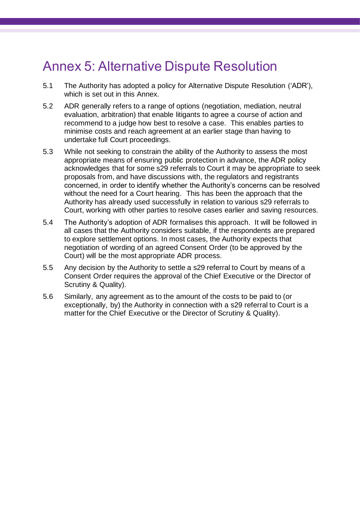# <span id="page-47-0"></span>Annex 5: Alternative Dispute Resolution

- 5.1 The Authority has adopted a policy for Alternative Dispute Resolution ('ADR'), which is set out in this Annex.
- 5.2 ADR generally refers to a range of options (negotiation, mediation, neutral evaluation, arbitration) that enable litigants to agree a course of action and recommend to a judge how best to resolve a case. This enables parties to minimise costs and reach agreement at an earlier stage than having to undertake full Court proceedings.
- 5.3 While not seeking to constrain the ability of the Authority to assess the most appropriate means of ensuring public protection in advance, the ADR policy acknowledges that for some s29 referrals to Court it may be appropriate to seek proposals from, and have discussions with, the regulators and registrants concerned, in order to identify whether the Authority's concerns can be resolved without the need for a Court hearing. This has been the approach that the Authority has already used successfully in relation to various s29 referrals to Court, working with other parties to resolve cases earlier and saving resources.
- 5.4 The Authority's adoption of ADR formalises this approach. It will be followed in all cases that the Authority considers suitable, if the respondents are prepared to explore settlement options. In most cases, the Authority expects that negotiation of wording of an agreed Consent Order (to be approved by the Court) will be the most appropriate ADR process.
- 5.5 Any decision by the Authority to settle a s29 referral to Court by means of a Consent Order requires the approval of the Chief Executive or the Director of Scrutiny & Quality).
- 5.6 Similarly, any agreement as to the amount of the costs to be paid to (or exceptionally, by) the Authority in connection with a s29 referral to Court is a matter for the Chief Executive or the Director of Scrutiny & Quality).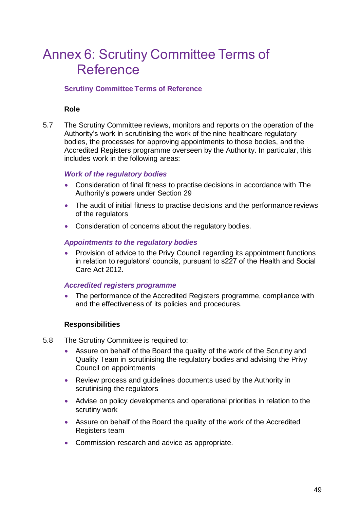# <span id="page-48-0"></span>Annex 6: Scrutiny Committee Terms of Reference

### **Scrutiny Committee Terms of Reference**

#### **Role**

5.7 The Scrutiny Committee reviews, monitors and reports on the operation of the Authority's work in scrutinising the work of the nine healthcare regulatory bodies, the processes for approving appointments to those bodies, and the Accredited Registers programme overseen by the Authority. In particular, this includes work in the following areas:

#### *Work of the regulatory bodies*

- Consideration of final fitness to practise decisions in accordance with The Authority's powers under Section 29
- The audit of initial fitness to practise decisions and the performance reviews of the regulators
- Consideration of concerns about the regulatory bodies.

#### *Appointments to the regulatory bodies*

• Provision of advice to the Privy Council regarding its appointment functions in relation to regulators' councils, pursuant to s227 of the Health and Social Care Act 2012.

#### *Accredited registers programme*

• The performance of the Accredited Registers programme, compliance with and the effectiveness of its policies and procedures.

#### **Responsibilities**

- 5.8 The Scrutiny Committee is required to:
	- Assure on behalf of the Board the quality of the work of the Scrutiny and Quality Team in scrutinising the regulatory bodies and advising the Privy Council on appointments
	- Review process and guidelines documents used by the Authority in scrutinising the regulators
	- Advise on policy developments and operational priorities in relation to the scrutiny work
	- Assure on behalf of the Board the quality of the work of the Accredited Registers team
	- Commission research and advice as appropriate.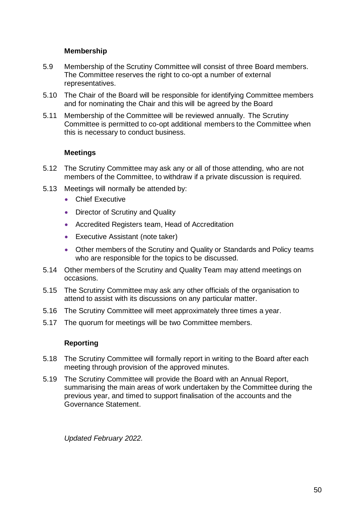## **Membership**

- 5.9 Membership of the Scrutiny Committee will consist of three Board members. The Committee reserves the right to co-opt a number of external representatives.
- 5.10 The Chair of the Board will be responsible for identifying Committee members and for nominating the Chair and this will be agreed by the Board
- 5.11 Membership of the Committee will be reviewed annually. The Scrutiny Committee is permitted to co-opt additional members to the Committee when this is necessary to conduct business.

### **Meetings**

- 5.12 The Scrutiny Committee may ask any or all of those attending, who are not members of the Committee, to withdraw if a private discussion is required.
- 5.13 Meetings will normally be attended by:
	- Chief Executive
	- Director of Scrutiny and Quality
	- Accredited Registers team, Head of Accreditation
	- Executive Assistant (note taker)
	- Other members of the Scrutiny and Quality or Standards and Policy teams who are responsible for the topics to be discussed.
- 5.14 Other members of the Scrutiny and Quality Team may attend meetings on occasions.
- 5.15 The Scrutiny Committee may ask any other officials of the organisation to attend to assist with its discussions on any particular matter.
- 5.16 The Scrutiny Committee will meet approximately three times a year.
- 5.17 The quorum for meetings will be two Committee members.

#### **Reporting**

- 5.18 The Scrutiny Committee will formally report in writing to the Board after each meeting through provision of the approved minutes.
- 5.19 The Scrutiny Committee will provide the Board with an Annual Report, summarising the main areas of work undertaken by the Committee during the previous year, and timed to support finalisation of the accounts and the Governance Statement.

*Updated February 2022.*